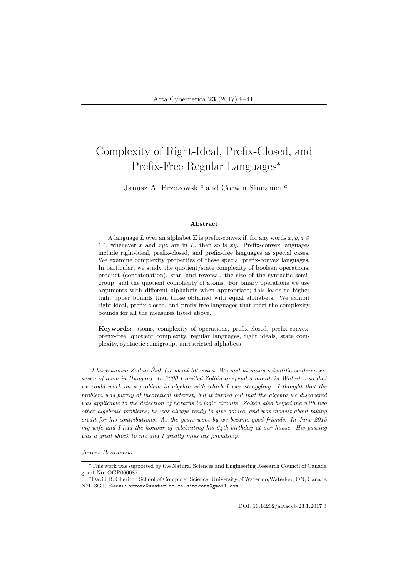# Complexity of Right-Ideal, Prefix-Closed, and Prefix-Free Regular Languages<sup>∗</sup>

### Janusz A. Brzozowski<sup>a</sup> and Corwin Sinnamon<sup>a</sup>

#### Abstract

A language L over an alphabet  $\Sigma$  is prefix-convex if, for any words  $x, y, z \in$  $\Sigma^*$ , whenever x and xyz are in L, then so is xy. Prefix-convex languages include right-ideal, prefix-closed, and prefix-free languages as special cases. We examine complexity properties of these special prefix-convex languages. In particular, we study the quotient/state complexity of boolean operations, product (concatenation), star, and reversal, the size of the syntactic semigroup, and the quotient complexity of atoms. For binary operations we use arguments with different alphabets when appropriate; this leads to higher tight upper bounds than those obtained with equal alphabets. We exhibit right-ideal, prefix-closed, and prefix-free languages that meet the complexity bounds for all the measures listed above.

Keywords: atoms, complexity of operations, prefix-closed, prefix-convex, prefix-free, quotient complexity, regular languages, right ideals, state complexity, syntactic semigroup, unrestricted alphabets

I have known Zoltán Ésik for about 30 years. We met at many scientific conferences, seven of them in Hungary. In 2000 I invited Zoltán to spend a month in Waterloo so that we could work on a problem in algebra with which I was struggling. I thought that the problem was purely of theoretical interest, but it turned out that the algebra we discovered was applicable to the detection of hazards in logic circuits. Zoltán also helped me with two other algebraic problems; he was always ready to give advice, and was modest about taking credit for his contributions. As the years went by we became good friends. In June 2015 my wife and I had the honour of celebrating his 64th birthday at our house. His passing was a great shock to me and I greatly miss his friendship.

Janusz Brzozowski

DOI: 10.14232/actacyb.23.1.2017.3

<sup>∗</sup>This work was supported by the Natural Sciences and Engineering Research Council of Canada grant No. OGP0000871.

<sup>a</sup>David R. Cheriton School of Computer Science, University of Waterloo,Waterloo, ON, Canada N2L 3G1, E-mail: brzozo@uwaterloo.ca sinncore@gmail.com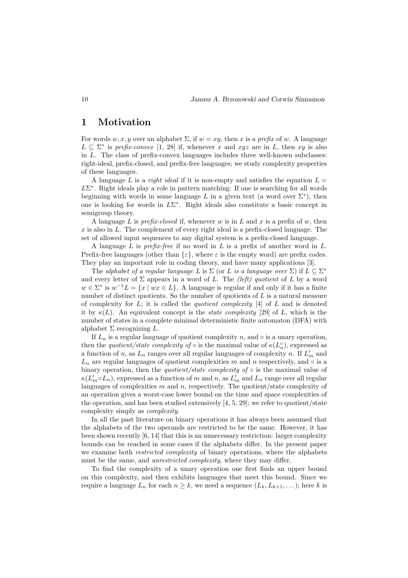### 1 Motivation

For words w, x, y over an alphabet  $\Sigma$ , if  $w = xy$ , then x is a prefix of w. A language  $L \subseteq \Sigma^*$  is prefix-convex [1, 28] if, whenever x and  $xyz$  are in L, then xy is also in L. The class of prefix-convex languages includes three well-known subclasses: right-ideal, prefix-closed, and prefix-free languages; we study complexity properties of these languages.

A language L is a *right ideal* if it is non-empty and satisfies the equation  $L =$  $L\Sigma^*$ . Right ideals play a role in pattern matching: If one is searching for all words beginning with words in some language L in a given text (a word over  $\Sigma^*$ ), then one is looking for words in  $L\Sigma^*$ . Right ideals also constitute a basic concept in semigroup theory.

A language L is *prefix-closed* if, whenever w is in L and x is a prefix of w, then  $x$  is also in  $L$ . The complement of every right ideal is a prefix-closed language. The set of allowed input sequences to any digital system is a prefix-closed language.

A language L is *prefix-free* if no word in L is a prefix of another word in L. Prefix-free languages (other than  $\{\varepsilon\}$ , where  $\varepsilon$  is the empty word) are prefix codes. They play an important role in coding theory, and have many applications [3].

The alphabet of a regular language L is  $\Sigma$  (or L is a language over  $\Sigma$ ) if  $L \subseteq \Sigma^*$ and every letter of  $\Sigma$  appears in a word of L. The *(left)* quotient of L by a word  $w \in \Sigma^*$  is  $w^{-1}L = \{x \mid wx \in L\}$ . A language is regular if and only if it has a finite number of distinct quotients. So the number of quotients of  $L$  is a natural measure of complexity for  $L$ ; it is called the *quotient complexity* [4] of  $L$  and is denoted it by  $\kappa(L)$ . An equivalent concept is the *state complexity* [29] of L, which is the number of states in a complete minimal deterministic finite automaton (DFA) with alphabet  $\Sigma$  recognizing  $L$ .

If  $L_n$  is a regular language of quotient complexity n, and  $\circ$  is a unary operation. then the *quotient/state complexity of*  $\circ$  is the maximal value of  $\kappa(L_n^{\circ})$ , expressed as a function of n, as  $L_n$  ranges over all regular languages of complexity n. If  $L'_m$  and  $L_n$  are regular languages of quotient complexities m and n respectively, and  $\circ$  is a binary operation, then the *quotient/state complexity of*  $\circ$  is the maximal value of  $\kappa(L'_m \circ L_n)$ , expressed as a function of m and n, as  $L'_m$  and  $L_n$  range over all regular languages of complexities  $m$  and  $n$ , respectively. The quotient/state complexity of an operation gives a worst-case lower bound on the time and space complexities of the operation, and has been studied extensively [4, 5, 29]; we refer to quotient/state complexity simply as complexity.

In all the past literature on binary operations it has always been assumed that the alphabets of the two operands are restricted to be the same. However, it has been shown recently [6, 14] that this is an unnecessary restriction: larger complexity bounds can be reached in some cases if the alphabets differ. In the present paper we examine both *restricted complexity* of binary operations, where the alphabets must be the same, and *unrestricted complexity*, where they may differ.

To find the complexity of a unary operation one first finds an upper bound on this complexity, and then exhibits languages that meet this bound. Since we require a language  $L_n$  for each  $n \geq k$ , we need a sequence  $(L_k, L_{k+1}, \ldots)$ ; here k is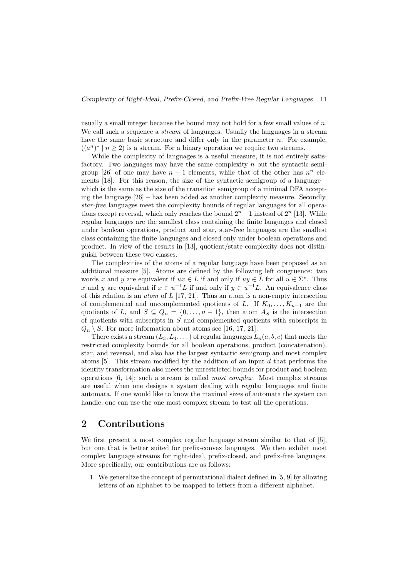usually a small integer because the bound may not hold for a few small values of  $n$ . We call such a sequence a *stream* of languages. Usually the languages in a stream have the same basic structure and differ only in the parameter  $n$ . For example,  $((a^n)^* | n \ge 2)$  is a stream. For a binary operation we require two streams.

While the complexity of languages is a useful measure, it is not entirely satisfactory. Two languages may have the same complexity  $n$  but the syntactic semigroup [26] of one may have  $n-1$  elements, while that of the other has  $n^n$  elements [18]. For this reason, the size of the syntactic semigroup of a language – which is the same as the size of the transition semigroup of a minimal DFA accepting the language [26] – has been added as another complexity measure. Secondly, star-free languages meet the complexity bounds of regular languages for all operations except reversal, which only reaches the bound  $2<sup>n</sup> - 1$  instead of  $2<sup>n</sup>$  [13]. While regular languages are the smallest class containing the finite languages and closed under boolean operations, product and star, star-free languages are the smallest class containing the finite languages and closed only under boolean operations and product. In view of the results in [13], quotient/state complexity does not distinguish between these two classes.

The complexities of the atoms of a regular language have been proposed as an additional measure [5]. Atoms are defined by the following left congruence: two words x and y are equivalent if  $ux \in L$  if and only if  $uy \in L$  for all  $u \in \Sigma^*$ . Thus x and y are equivalent if  $x \in u^{-1}L$  if and only if  $y \in u^{-1}L$ . An equivalence class of this relation is an *atom* of  $L$  [17, 21]. Thus an atom is a non-empty intersection of complemented and uncomplemented quotients of L. If  $K_0, \ldots, K_{n-1}$  are the quotients of L, and  $S \subseteq Q_n = \{0, \ldots, n-1\}$ , then atom  $A_S$  is the intersection of quotients with subscripts in S and complemented quotients with subscripts in  $Q_n \setminus S$ . For more information about atoms see [16, 17, 21].

There exists a stream  $(L_3, L_4, \dots)$  of regular languages  $L_n(a, b, c)$  that meets the restricted complexity bounds for all boolean operations, product (concatenation), star, and reversal, and also has the largest syntactic semigroup and most complex atoms [5]. This stream modified by the addition of an input d that performs the identity transformation also meets the unrestricted bounds for product and boolean operations [6, 14]; such a stream is called most complex. Most complex streams are useful when one designs a system dealing with regular languages and finite automata. If one would like to know the maximal sizes of automata the system can handle, one can use the one most complex stream to test all the operations.

## 2 Contributions

We first present a most complex regular language stream similar to that of [5], but one that is better suited for prefix-convex languages. We then exhibit most complex language streams for right-ideal, prefix-closed, and prefix-free languages. More specifically, our contributions are as follows:

1. We generalize the concept of permutational dialect defined in [5, 9] by allowing letters of an alphabet to be mapped to letters from a different alphabet.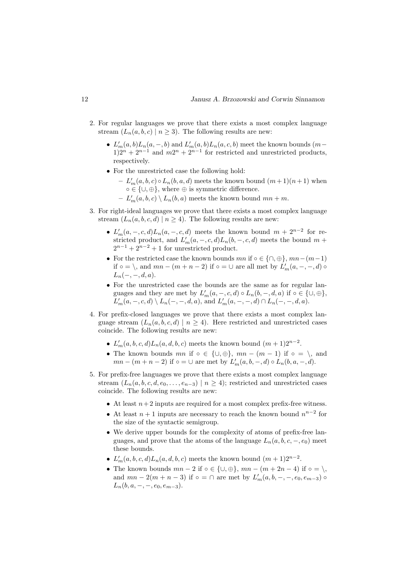- 2. For regular languages we prove that there exists a most complex language stream  $(L_n(a, b, c) | n \geq 3)$ . The following results are new:
	- $L'_m(a, b)L_n(a, -, b)$  and  $L'_m(a, b)L_n(a, c, b)$  meet the known bounds  $(m b)$  $1)2^{n} + 2^{n-1}$  and  $m2^{n} + 2^{n-1}$  for restricted and unrestricted products, respectively.
	- For the unrestricted case the following hold:
		- $-L'_m(a, b, c) \circ L_n(b, a, d)$  meets the known bound  $(m+1)(n+1)$  when  $\circ \in \{\cup, \oplus\}$ , where  $\oplus$  is symmetric difference.
		- $-L'_m(a, b, c) \setminus L_n(b, a)$  meets the known bound  $mn + m$ .
- 3. For right-ideal languages we prove that there exists a most complex language stream  $(L_n(a, b, c, d) \mid n \ge 4)$ . The following results are new:
	- $L'_m(a, -, c, d)L_n(a, -, c, d)$  meets the known bound  $m + 2^{n-2}$  for restricted product, and  $L'_m(a, -, c, d)L_n(b, -, c, d)$  meets the bound  $m +$  $2^{n-1} + 2^{n-2} + 1$  for unrestricted product.
	- For the restricted case the known bounds  $mn$  if ∘ ∈ {∩, ⊕},  $mn-(m-1)$ if  $\circ = \setminus$ , and  $mn - (m + n - 2)$  if  $\circ = \cup$  are all met by  $L'_m(a, -, -, d) \circ$  $L_n(-, -, d, a)$ .
	- For the unrestricted case the bounds are the same as for regular languages and they are met by  $L'_m(a, -, c, d) \circ L_n(b, -, d, a)$  if  $\circ \in \{\cup, \oplus\},\$  $L'_m(a, -, c, d) \setminus L_n(-, -, d, a)$ , and  $L'_m(a, -, -, d) \cap L_n(-, -, d, a)$ .
- 4. For prefix-closed languages we prove that there exists a most complex language stream  $(L_n(a, b, c, d) \mid n \ge 4)$ . Here restricted and unrestricted cases coincide. The following results are new:
	- $L'_m(a, b, c, d)L_n(a, d, b, c)$  meets the known bound  $(m + 1)2^{n-2}$ .
	- The known bounds  $mn$  if  $\circ \in \{\cup, \oplus\}$ ,  $mn (m 1)$  if  $\circ = \setminus$ , and  $mn - (m + n - 2)$  if  $\circ = \cup$  are met by  $L'_m(a, b, -, d) \circ L_n(b, a, -, d)$ .
- 5. For prefix-free languages we prove that there exists a most complex language stream  $(L_n(a, b, c, d, e_0, \ldots, e_{n-3}) \mid n \ge 4)$ ; restricted and unrestricted cases coincide. The following results are new:
	- At least  $n+2$  inputs are required for a most complex prefix-free witness.
	- At least  $n + 1$  inputs are necessary to reach the known bound  $n^{n-2}$  for the size of the syntactic semigroup.
	- We derive upper bounds for the complexity of atoms of prefix-free languages, and prove that the atoms of the language  $L_n(a, b, c, -, e_0)$  meet these bounds.
	- $L'_m(a, b, c, d)L_n(a, d, b, c)$  meets the known bound  $(m + 1)2^{n-2}$ .
	- The known bounds  $mn 2$  if  $\circ \in \{\cup, \oplus\}, mn (m + 2n 4)$  if  $\circ = \setminus$ and  $mn - 2(m + n - 3)$  if  $\circ = \cap$  are met by  $L'_{m}(a, b, -, -, e_0, e_{m-3}) \circ$  $L_n(b, a, -, -, e_0, e_{m-3}).$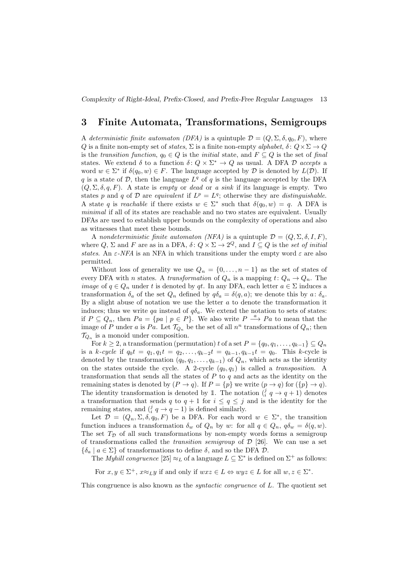Complexity of Right-Ideal, Prefix-Closed, and Prefix-Free Regular Languages 13

### 3 Finite Automata, Transformations, Semigroups

A deterministic finite automaton (DFA) is a quintuple  $\mathcal{D} = (Q, \Sigma, \delta, q_0, F)$ , where Q is a finite non-empty set of states,  $\Sigma$  is a finite non-empty alphabet,  $\delta: Q \times \Sigma \to Q$ is the transition function,  $q_0 \in Q$  is the initial state, and  $F \subseteq Q$  is the set of final states. We extend  $\delta$  to a function  $\delta: Q \times \Sigma^* \to Q$  as usual. A DFA D accepts a word  $w \in \Sigma^*$  if  $\delta(q_0, w) \in F$ . The language accepted by  $D$  is denoted by  $L(\mathcal{D})$ . If q is a state of  $D$ , then the language  $L<sup>q</sup>$  of q is the language accepted by the DFA  $(Q, \Sigma, \delta, q, F)$ . A state is *empty* or *dead* or a *sink* if its language is empty. Two states p and q of D are equivalent if  $L^p = L^q$ ; otherwise they are distinguishable. A state q is reachable if there exists  $w \in \Sigma^*$  such that  $\delta(q_0, w) = q$ . A DFA is minimal if all of its states are reachable and no two states are equivalent. Usually DFAs are used to establish upper bounds on the complexity of operations and also as witnesses that meet these bounds.

A nondeterministic finite automaton (NFA) is a quintuple  $\mathcal{D} = (Q, \Sigma, \delta, I, F)$ , where  $Q, \Sigma$  and F are as in a DFA,  $\delta: Q \times \Sigma \to 2^Q$ , and  $I \subseteq Q$  is the set of initial states. An  $\varepsilon$ -NFA is an NFA in which transitions under the empty word  $\varepsilon$  are also permitted.

Without loss of generality we use  $Q_n = \{0, \ldots, n-1\}$  as the set of states of every DFA with *n* states. A transformation of  $Q_n$  is a mapping  $t: Q_n \to Q_n$ . The *image* of  $q \in Q_n$  under t is denoted by qt. In any DFA, each letter  $a \in \Sigma$  induces a transformation  $\delta_a$  of the set  $Q_n$  defined by  $q\delta_a = \delta(q, a)$ ; we denote this by  $a : \delta_a$ . By a slight abuse of notation we use the letter  $a$  to denote the transformation it induces; thus we write qa instead of  $q\delta_a$ . We extend the notation to sets of states: if  $P \subseteq Q_n$ , then  $Pa = \{pa \mid p \in P\}$ . We also write  $P \stackrel{a}{\longrightarrow} Pa$  to mean that the image of P under a is Pa. Let  $\mathcal{T}_{Q_n}$  be the set of all  $n^n$  transformations of  $Q_n$ ; then  $\mathcal{T}_{Q_n}$  is a monoid under composition.

For  $k \geq 2$ , a transformation (permutation) t of a set  $P = \{q_0, q_1, \ldots, q_{k-1}\} \subseteq Q_n$ is a k-cycle if  $q_0t = q_1, q_1t = q_2, \ldots, q_{k-2}t = q_{k-1}, q_{k-1}t = q_0$ . This k-cycle is denoted by the transformation  $(q_0, q_1, \ldots, q_{k-1})$  of  $Q_n$ , which acts as the identity on the states outside the cycle. A 2-cycle  $(q_0, q_1)$  is called a *transposition*. A transformation that sends all the states of  $P$  to  $q$  and acts as the identity on the remaining states is denoted by  $(P \to q)$ . If  $P = \{p\}$  we write  $(p \to q)$  for  $(\{p\} \to q)$ . The identity transformation is denoted by 1. The notation  $(\hat{i} \ q \rightarrow q + 1)$  denotes a transformation that sends q to  $q + 1$  for  $i \leq q \leq j$  and is the identity for the remaining states, and  $\left(\frac{j}{i}, q \rightarrow q - 1\right)$  is defined similarly.

Let  $\mathcal{D} = (Q_n, \Sigma, \delta, q_0, F)$  be a DFA. For each word  $w \in \Sigma^*$ , the transition function induces a transformation  $\delta_w$  of  $Q_n$  by w: for all  $q \in Q_n$ ,  $q\delta_w = \delta(q, w)$ . The set  $T_{\mathcal{D}}$  of all such transformations by non-empty words forms a semigroup of transformations called the *transition semigroup* of  $D$  [26]. We can use a set  $\{\delta_a \mid a \in \Sigma\}$  of transformations to define  $\delta$ , and so the DFA  $\mathcal{D}$ .

The *Myhill congruence* [25]  $\approx_L$  of a language  $L \subseteq \Sigma^*$  is defined on  $\Sigma^+$  as follows:

For  $x, y \in \Sigma^+$ ,  $x \approx_L y$  if and only if  $wxz \in L \Leftrightarrow wyz \in L$  for all  $w, z \in \Sigma^*$ .

This congruence is also known as the *syntactic congruence* of L. The quotient set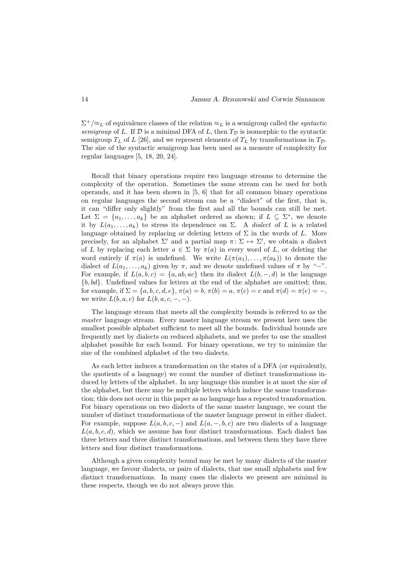$\Sigma^+/\approx_L$  of equivalence classes of the relation  $\approx_L$  is a semigroup called the *syntactic* semigroup of L. If  $D$  is a minimal DFA of L, then  $T_{\mathcal{D}}$  is isomorphic to the syntactic semigroup  $T<sub>L</sub>$  of L [26], and we represent elements of  $T<sub>L</sub>$  by transformations in  $T<sub>D</sub>$ . The size of the syntactic semigroup has been used as a measure of complexity for regular languages [5, 18, 20, 24].

Recall that binary operations require two language streams to determine the complexity of the operation. Sometimes the same stream can be used for both operands, and it has been shown in [5, 6] that for all common binary operations on regular languages the second stream can be a "dialect" of the first, that is, it can "differ only slightly" from the first and all the bounds can still be met. Let  $\Sigma = \{a_1, \ldots, a_k\}$  be an alphabet ordered as shown; if  $L \subseteq \Sigma^*$ , we denote it by  $L(a_1, \ldots, a_k)$  to stress its dependence on  $\Sigma$ . A *dialect* of L is a related language obtained by replacing or deleting letters of  $\Sigma$  in the words of L. More precisely, for an alphabet  $\Sigma'$  and a partial map  $\pi: \Sigma \mapsto \Sigma'$ , we obtain a dialect of L by replacing each letter  $a \in \Sigma$  by  $\pi(a)$  in every word of L, or deleting the word entirely if  $\pi(a)$  is undefined. We write  $L(\pi(a_1), \ldots, \pi(a_k))$  to denote the dialect of  $L(a_1, \ldots, a_k)$  given by  $\pi$ , and we denote undefined values of  $\pi$  by "−". For example, if  $L(a, b, c) = \{a, ab, ac\}$  then its dialect  $L(b, -, d)$  is the language  ${b, bd}$ . Undefined values for letters at the end of the alphabet are omitted; thus, for example, if  $\Sigma = \{a, b, c, d, e\}$ ,  $\pi(a) = b$ ,  $\pi(b) = a$ ,  $\pi(c) = c$  and  $\pi(d) = \pi(e) = -$ , we write  $L(b, a, c)$  for  $L(b, a, c, -,-)$ .

The language stream that meets all the complexity bounds is referred to as the master language stream. Every master language stream we present here uses the smallest possible alphabet sufficient to meet all the bounds. Individual bounds are frequently met by dialects on reduced alphabets, and we prefer to use the smallest alphabet possible for each bound. For binary operations, we try to minimize the size of the combined alphabet of the two dialects.

As each letter induces a transformation on the states of a DFA (or equivalently, the quotients of a language) we count the number of distinct transformations induced by letters of the alphabet. In any language this number is at most the size of the alphabet, but there may be multiple letters which induce the same transformation; this does not occur in this paper as no language has a repeated transformation. For binary operations on two dialects of the same master language, we count the number of distinct transformations of the master language present in either dialect. For example, suppose  $L(a, b, c, -)$  and  $L(a, -, b, c)$  are two dialects of a language  $L(a, b, c, d)$ , which we assume has four distinct transformations. Each dialect has three letters and three distinct transformations, and between them they have three letters and four distinct transformations.

Although a given complexity bound may be met by many dialects of the master language, we favour dialects, or pairs of dialects, that use small alphabets and few distinct transformations. In many cases the dialects we present are minimal in these respects, though we do not always prove this.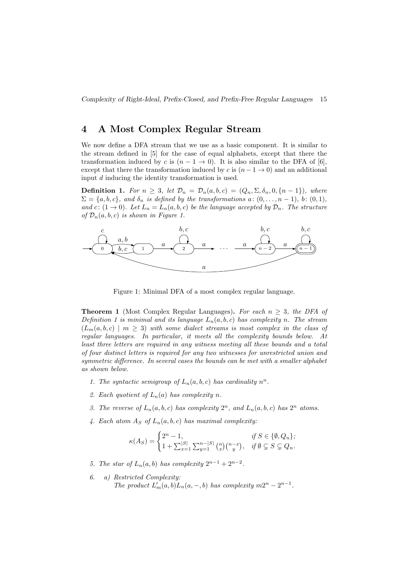### 4 A Most Complex Regular Stream

We now define a DFA stream that we use as a basic component. It is similar to the stream defined in [5] for the case of equal alphabets, except that there the transformation induced by c is  $(n - 1 \rightarrow 0)$ . It is also similar to the DFA of [6], except that there the transformation induced by c is  $(n - 1 \rightarrow 0)$  and an additional input d inducing the identity transformation is used.

**Definition 1.** For  $n \geq 3$ , let  $\mathcal{D}_n = \mathcal{D}_n(a, b, c) = (Q_n, \Sigma, \delta_n, 0, \{n-1\})$ , where  $\Sigma = \{a, b, c\}$ , and  $\delta_n$  is defined by the transformations a:  $(0, \ldots, n-1)$ , b:  $(0, 1)$ , and c:  $(1 \rightarrow 0)$ . Let  $L_n = L_n(a, b, c)$  be the language accepted by  $\mathcal{D}_n$ . The structure of  $\mathcal{D}_n(a, b, c)$  is shown in Figure 1.



Figure 1: Minimal DFA of a most complex regular language.

**Theorem 1** (Most Complex Regular Languages). For each  $n \geq 3$ , the DFA of Definition 1 is minimal and its language  $L_n(a, b, c)$  has complexity n. The stream  $(L_m(a, b, c) \mid m \geq 3)$  with some dialect streams is most complex in the class of regular languages. In particular, it meets all the complexity bounds below. At least three letters are required in any witness meeting all these bounds and a total of four distinct letters is required for any two witnesses for unrestricted union and symmetric difference. In several cases the bounds can be met with a smaller alphabet as shown below.

- 1. The syntactic semigroup of  $L_n(a, b, c)$  has cardinality  $n^n$ .
- 2. Each quotient of  $L_n(a)$  has complexity n.
- 3. The reverse of  $L_n(a, b, c)$  has complexity  $2^n$ , and  $L_n(a, b, c)$  has  $2^n$  atoms.
- 4. Each atom  $A_S$  of  $L_n(a, b, c)$  has maximal complexity:

$$
\kappa(A_S) = \begin{cases} 2^n - 1, & \text{if } S \in \{0, Q_n\}; \\ 1 + \sum_{x=1}^{|S|} \sum_{y=1}^{n-|S|} {n \choose x} {n-x \choose y}, & \text{if } \emptyset \subsetneq S \subsetneq Q_n. \end{cases}
$$

- 5. The star of  $L_n(a, b)$  has complexity  $2^{n-1} + 2^{n-2}$ .
- 6. a) Restricted Complexity: The product  $L'_m(a, b)L_n(a, -, b)$  has complexity  $m2^n - 2^{n-1}$ .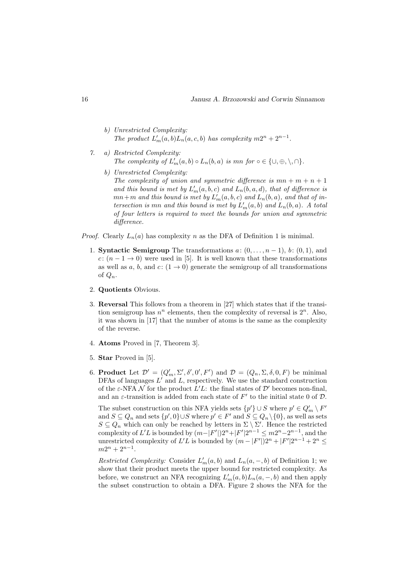- b) Unrestricted Complexity: The product  $L'_m(a, b)L_n(a, c, b)$  has complexity  $m2^n + 2^{n-1}$ .
- 7. a) Restricted Complexity: The complexity of  $L'_m(a, b) \circ L_n(b, a)$  is  $mn$  for  $\circ \in \{\cup, \oplus, \setminus, \cap\}.$ 
	- b) Unrestricted Complexity: The complexity of union and symmetric difference is  $mn + m + n + 1$ and this bound is met by  $L'_m(a, b, c)$  and  $L_n(b, a, d)$ , that of difference is  $mn+m$  and this bound is met by  $L'_m(a,b,c)$  and  $L_n(b,a)$ , and that of intersection is mn and this bound is met by  $L'_m(a, b)$  and  $L_n(b, a)$ . A total of four letters is required to meet the bounds for union and symmetric difference.

*Proof.* Clearly  $L_n(a)$  has complexity n as the DFA of Definition 1 is minimal.

- 1. **Syntactic Semigroup** The transformations  $a: (0, \ldots, n-1)$ ,  $b: (0,1)$ , and c:  $(n-1 \rightarrow 0)$  were used in [5]. It is well known that these transformations as well as a, b, and  $c: (1 \rightarrow 0)$  generate the semigroup of all transformations of  $Q_n$ .
- 2. Quotients Obvious.
- 3. Reversal This follows from a theorem in [27] which states that if the transition semigroup has  $n^n$  elements, then the complexity of reversal is  $2^n$ . Also, it was shown in [17] that the number of atoms is the same as the complexity of the reverse.
- 4. Atoms Proved in [7, Theorem 3].
- 5. Star Proved in [5].
- 6. **Product** Let  $\mathcal{D}' = (Q'_m, \Sigma', \delta', 0', F')$  and  $\mathcal{D} = (Q_n, \Sigma, \delta, 0, F)$  be minimal DFAs of languages  $L'$  and  $L$ , respectively. We use the standard construction of the  $\varepsilon$ -NFA  $\mathcal N$  for the product  $L'L$ : the final states of  $\mathcal D'$  becomes non-final, and an  $\varepsilon$ -transition is added from each state of  $F'$  to the initial state 0 of  $\mathcal{D}$ .

The subset construction on this NFA yields sets  $\{p'\}\cup S$  where  $p'\in Q'_m\setminus F'$ and  $S \subseteq Q_n$  and sets  $\{p', 0\} \cup S$  where  $p' \in F'$  and  $S \subseteq Q_n \setminus \{0\}$ , as well as sets  $S \subseteq Q_n$  which can only be reached by letters in  $\Sigma \setminus \Sigma'$ . Hence the restricted complexity of L'L is bounded by  $(m-|F'|)2^n+|F'|2^{n-1} \leq m2^n-2^{n-1}$ , and the unrestricted complexity of  $L'L$  is bounded by  $(m - |F'|)2^n + |F'|2^{n-1} + 2^n \leq$  $m2^n + 2^{n-1}.$ 

Restricted Complexity: Consider  $L'_m(a, b)$  and  $L_n(a, -, b)$  of Definition 1; we show that their product meets the upper bound for restricted complexity. As before, we construct an NFA recognizing  $L'_m(a, b)L_n(a, -, b)$  and then apply the subset construction to obtain a DFA. Figure 2 shows the NFA for the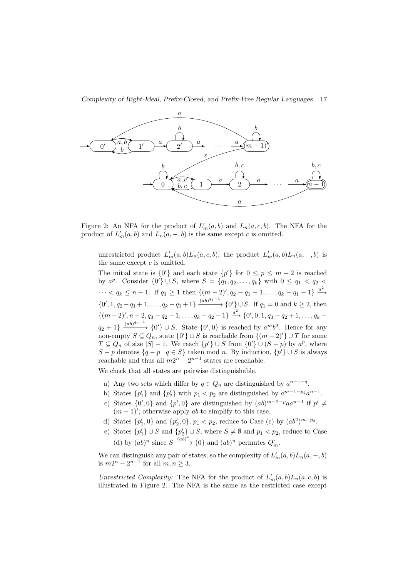Complexity of Right-Ideal, Prefix-Closed, and Prefix-Free Regular Languages 17



Figure 2: An NFA for the product of  $L'_m(a, b)$  and  $L_n(a, c, b)$ . The NFA for the product of  $L'_m(a, b)$  and  $L_n(a, -, b)$  is the same except c is omitted.

unrestricted product  $L'_m(a, b)L_n(a, c, b)$ ; the product  $L'_m(a, b)L_n(a, -, b)$  is the same except  $c$  is omitted.

The initial state is  $\{0'\}$  and each state  $\{p'\}$  for  $0 \leq p \leq m-2$  is reached by  $a^p$ . Consider  $\{0'\} \cup S$ , where  $S = \{q_1, q_2, ..., q_k\}$  with  $0 \le q_1 < q_2 <$  $\cdots < q_k \le n-1$ . If  $q_1 \ge 1$  then  $\{(m-2)', q_2 - q_1 - 1, \ldots, q_k - q_1 - 1\} \stackrel{a^2}{\longrightarrow}$  $\{0', 1, q_2 - q_1 + 1, \ldots, q_k - q_1 + 1\}$   $\xrightarrow{(ab)^{q_1 - 1}} \{0'\} \cup S$ . If  $q_1 = 0$  and  $k \ge 2$ , then  $\{(m-2)', n-2, q_3-q_2-1, \ldots, q_k-q_2-1\} \stackrel{a^2}{\longrightarrow} \{0', 0, 1, q_3-q_2+1, \ldots, q_k-1\}$  $q_2 + 1$ }  $\xrightarrow{(ab)^{q_2-1}}$  {0'} ∪ S. State {0', 0} is reached by  $a^m b^2$ . Hence for any non-empty  $S \subseteq Q_n$ , state  $\{0'\} \cup S$  is reachable from  $\{(m-2)'\} \cup T$  for some  $T \subseteq Q_n$  of size  $|S| - 1$ . We reach  $\{p'\} \cup S$  from  $\{0'\} \cup (S - p)$  by  $a^p$ , where S – p denotes  $\{q - p \mid q \in S\}$  taken mod n. By induction,  $\{p'\} \cup S$  is always reachable and thus all  $m2^n - 2^{n-1}$  states are reachable.

We check that all states are pairwise distinguishable.

- a) Any two sets which differ by  $q \in Q_n$  are distinguished by  $a^{n-1-q}$ .
- b) States  $\{p'_1\}$  and  $\{p'_2\}$  with  $p_1 < p_2$  are distinguished by  $a^{m-1-p_2}a^{n-1}$ .
- c) States  $\{0',0\}$  and  $\{p',0\}$  are distinguished by  $(ab)^{m-2-p}aa^{n-1}$  if  $p' \neq$  $(m-1)$ '; otherwise apply *ab* to simplify to this case.
- d) States  $\{p'_1, 0\}$  and  $\{p'_2, 0\}$ ,  $p_1 < p_2$ , reduce to Case (c) by  $(ab^2)^{m-p_2}$ .
- e) States  $\{p'_1\} \cup S$  and  $\{p'_2\} \cup S$ , where  $S \neq \emptyset$  and  $p_1 < p_2$ , reduce to Case (d) by  $(ab)^n$  since  $S \xrightarrow{(ab)^n} \{0\}$  and  $(ab)^n$  permutes  $Q'_m$ .

We can distinguish any pair of states; so the complexity of  $L'_m(a, b)L_n(a, -, b)$ is  $m2^n - 2^{n-1}$  for all  $m, n \geq 3$ .

Unrestricted Complexity: The NFA for the product of  $L'_m(a, b)L_n(a, c, b)$  is illustrated in Figure 2. The NFA is the same as the restricted case except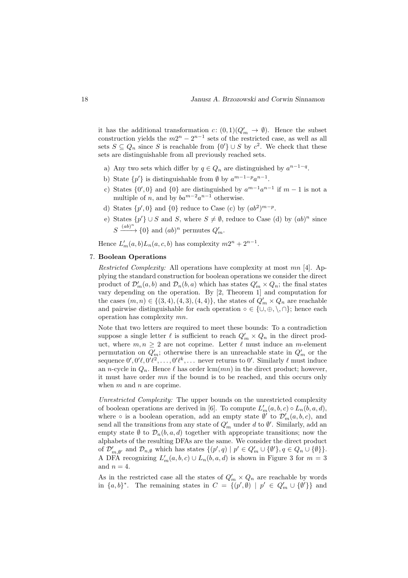it has the additional transformation  $c: (0,1)(Q'_m \to \emptyset)$ . Hence the subset construction yields the  $m2^n - 2^{n-1}$  sets of the restricted case, as well as all sets  $S \subseteq Q_n$  since S is reachable from  $\{0'\} \cup S$  by  $c^2$ . We check that these sets are distinguishable from all previously reached sets.

- a) Any two sets which differ by  $q \in Q_n$  are distinguished by  $a^{n-1-q}$ .
- b) State  $\{p'\}\$ is distinguishable from Ø by  $a^{m-1-p}a^{n-1}$ .
- c) States  $\{0',0\}$  and  $\{0\}$  are distinguished by  $a^{m-1}a^{n-1}$  if  $m-1$  is not a multiple of *n*, and by  $ba^{m-2}a^{n-1}$  otherwise.
- d) States  $\{p', 0\}$  and  $\{0\}$  reduce to Case (c) by  $(ab^2)^{m-p}$ .
- e) States  $\{p'\}\cup S$  and S, where  $S\neq\emptyset$ , reduce to Case (d) by  $(ab)^n$  since  $S \xrightarrow{(ab)^n} \{0\}$  and  $(ab)^n$  permutes  $Q'_m$ .

Hence  $L'_m(a, b)L_n(a, c, b)$  has complexity  $m2^n + 2^{n-1}$ .

### 7. Boolean Operations

Restricted Complexity: All operations have complexity at most mn [4]. Applying the standard construction for boolean operations we consider the direct product of  $\mathcal{D}'_m(a, b)$  and  $\mathcal{D}_n(b, a)$  which has states  $Q'_m \times Q_n$ ; the final states vary depending on the operation. By [2, Theorem 1] and computation for the cases  $(m, n) \in \{(3, 4), (4, 3), (4, 4)\}\$ , the states of  $Q'_m \times Q_n$  are reachable and pairwise distinguishable for each operation  $\circ \in \{\cup, \oplus, \setminus, \cap\}$ ; hence each operation has complexity mn.

Note that two letters are required to meet these bounds: To a contradiction suppose a single letter  $\ell$  is sufficient to reach  $Q'_m \times Q_n$  in the direct product, where  $m, n \geq 2$  are not coprime. Letter  $\ell$  must induce an *m*-element permutation on  $Q'_m$ ; otherwise there is an unreachable state in  $Q'_m$  or the sequence  $0', 0'\ell, 0'\ell^2, \ldots, 0'\ell^k, \ldots$  never returns to  $0'$ . Similarly  $\ell$  must induce an n-cycle in  $Q_n$ . Hence  $\ell$  has order lcm(mn) in the direct product; however, it must have order mn if the bound is to be reached, and this occurs only when  $m$  and  $n$  are coprime.

Unrestricted Complexity: The upper bounds on the unrestricted complexity of boolean operations are derived in [6]. To compute  $L'_m(a, b, c) \circ L_n(b, a, d)$ , where  $\circ$  is a boolean operation, add an empty state  $\emptyset'$  to  $\mathcal{D}'_m(a, b, c)$ , and send all the transitions from any state of  $Q'_m$  under  $d$  to  $\emptyset'$ . Similarly, add an empty state  $\emptyset$  to  $\mathcal{D}_n(b, a, d)$  together with appropriate transitions; now the alphabets of the resulting DFAs are the same. We consider the direct product of  $\mathcal{D}'_{m,\emptyset'}$  and  $\mathcal{D}_{n,\emptyset}$  which has states  $\{(p',q) \mid p' \in Q'_m \cup \{\emptyset'\}, q \in Q_n \cup \{\emptyset\}\}.$ A DFA recognizing  $L'_m(a, b, c) \cup L_n(b, a, d)$  is shown in Figure 3 for  $m = 3$ and  $n = 4$ .

As in the restricted case all the states of  $Q'_m \times Q_n$  are reachable by words in  $\{a, b\}^*$ . The remaining states in  $C = \{(p', \emptyset) \mid p' \in Q'_m \cup \{\emptyset'\}\}\$ and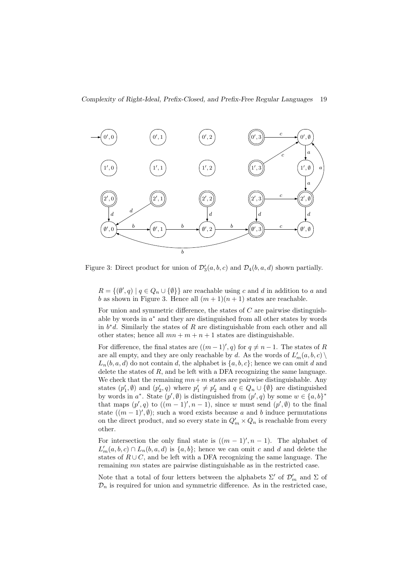

Figure 3: Direct product for union of  $\mathcal{D}'_3(a, b, c)$  and  $\mathcal{D}_4(b, a, d)$  shown partially.

 $R = \{(\emptyset', q) \mid q \in Q_n \cup \{\emptyset\}\}\$ are reachable using c and d in addition to a and b as shown in Figure 3. Hence all  $(m+1)(n+1)$  states are reachable.

For union and symmetric difference, the states of  $C$  are pairwise distinguishable by words in  $a^*$  and they are distinguished from all other states by words in  $b^*d$ . Similarly the states of R are distinguishable from each other and all other states; hence all  $mn + m + n + 1$  states are distinguishable.

For difference, the final states are  $((m-1)^\prime, q)$  for  $q \neq n-1$ . The states of R are all empty, and they are only reachable by  $d$ . As the words of  $L'_m(a, b, c) \setminus$  $L_n(b, a, d)$  do not contain d, the alphabet is  $\{a, b, c\}$ ; hence we can omit d and delete the states of  $R$ , and be left with a DFA recognizing the same language. We check that the remaining  $mn+m$  states are pairwise distinguishable. Any states  $(p'_1, \emptyset)$  and  $(p'_2, q)$  where  $p'_1 \neq p'_2$  and  $q \in Q_n \cup \{\emptyset\}$  are distinguished by words in  $a^*$ . State  $(p', \emptyset)$  is distinguished from  $(p', q)$  by some  $w \in \{a, b\}^*$ that maps  $(p', q)$  to  $((m - 1)', n - 1)$ , since w must send  $(p', \emptyset)$  to the final state  $((m-1)^\prime, \emptyset)$ ; such a word exists because a and b induce permutations on the direct product, and so every state in  $Q'_m \times Q_n$  is reachable from every other.

For intersection the only final state is  $((m-1)$ ',  $n-1$ ). The alphabet of  $L'_m(a, b, c) \cap L_n(b, a, d)$  is  $\{a, b\}$ ; hence we can omit c and d and delete the states of  $R \cup C$ , and be left with a DFA recognizing the same language. The remaining mn states are pairwise distinguishable as in the restricted case.

Note that a total of four letters between the alphabets  $\Sigma'$  of  $\mathcal{D}'_m$  and  $\Sigma$  of  $\mathcal{D}_n$  is required for union and symmetric difference. As in the restricted case,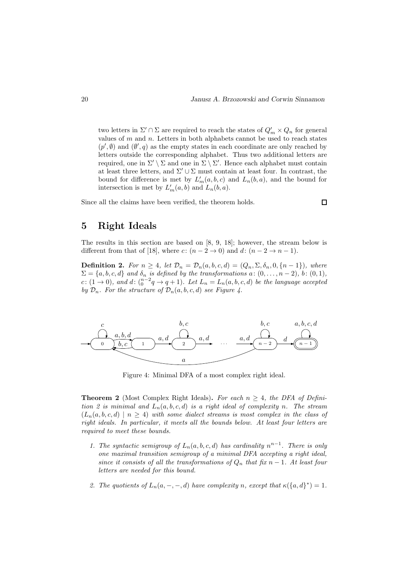two letters in  $\Sigma' \cap \Sigma$  are required to reach the states of  $Q'_m \times Q_n$  for general values of  $m$  and  $n$ . Letters in both alphabets cannot be used to reach states  $(p', \emptyset)$  and  $(\emptyset', q)$  as the empty states in each coordinate are only reached by letters outside the corresponding alphabet. Thus two additional letters are required, one in  $\Sigma' \setminus \Sigma$  and one in  $\Sigma \setminus \Sigma'$ . Hence each alphabet must contain at least three letters, and  $\Sigma' \cup \Sigma$  must contain at least four. In contrast, the bound for difference is met by  $L'_m(a, b, c)$  and  $L_n(b, a)$ , and the bound for intersection is met by  $L'_m(a, b)$  and  $L_n(b, a)$ .

Since all the claims have been verified, the theorem holds.

# $\Box$

## 5 Right Ideals

The results in this section are based on [8, 9, 18]; however, the stream below is different from that of [18], where  $c: (n-2 \to 0)$  and  $d: (n-2 \to n-1)$ .

**Definition 2.** For  $n \geq 4$ , let  $\mathcal{D}_n = \mathcal{D}_n(a, b, c, d) = (Q_n, \Sigma, \delta_n, 0, \{n-1\})$ , where  $\Sigma = \{a, b, c, d\}$  and  $\delta_n$  is defined by the transformations  $a: (0, \ldots, n-2)$ , b:  $(0, 1)$ , c:  $(1 \rightarrow 0)$ , and  $d$ :  $\binom{n-2}{0}$   $\rightarrow$   $q+1$ ). Let  $L_n = L_n(a, b, c, d)$  be the language accepted by  $\mathcal{D}_n$ . For the structure of  $\mathcal{D}_n(a, b, c, d)$  see Figure 4.



Figure 4: Minimal DFA of a most complex right ideal.

**Theorem 2** (Most Complex Right Ideals). For each  $n \geq 4$ , the DFA of Definition 2 is minimal and  $L_n(a, b, c, d)$  is a right ideal of complexity n. The stream  $(L_n(a, b, c, d) \mid n \ge 4)$  with some dialect streams is most complex in the class of right ideals. In particular, it meets all the bounds below. At least four letters are required to meet these bounds.

- 1. The syntactic semigroup of  $L_n(a, b, c, d)$  has cardinality  $n^{n-1}$ . There is only one maximal transition semigroup of a minimal DFA accepting a right ideal, since it consists of all the transformations of  $Q_n$  that fix n – 1. At least four letters are needed for this bound.
- 2. The quotients of  $L_n(a, -, -, d)$  have complexity n, except that  $\kappa({a, d})^* = 1$ .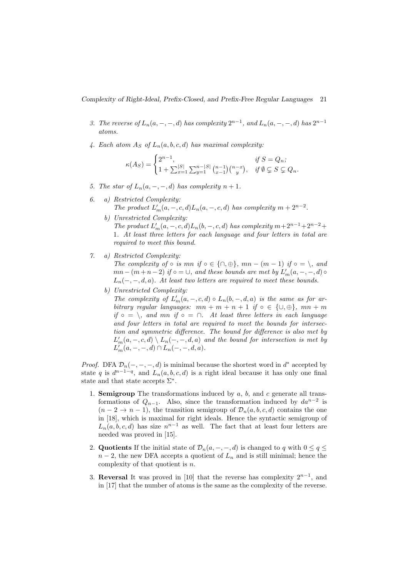Complexity of Right-Ideal, Prefix-Closed, and Prefix-Free Regular Languages 21

- 3. The reverse of  $L_n(a, -, -, d)$  has complexity  $2^{n-1}$ , and  $L_n(a, -, -, d)$  has  $2^{n-1}$ atoms.
- 4. Each atom  $A_S$  of  $L_n(a, b, c, d)$  has maximal complexity:

$$
\kappa(A_S) = \begin{cases} 2^{n-1}, & \text{if } S = Q_n; \\ 1 + \sum_{x=1}^{|S|} \sum_{y=1}^{n-|S|} {n-1 \choose x-1} {n-x \choose y}, & \text{if } \emptyset \subsetneq S \subsetneq Q_n. \end{cases}
$$

- 5. The star of  $L_n(a, -, -, d)$  has complexity  $n + 1$ .
- 6. a) Restricted Complexity: The product  $L'_m(a, -, c, d)L_n(a, -, c, d)$  has complexity  $m + 2^{n-2}$ .
	- b) Unrestricted Complexity: The product  $L'_m(a, -, c, d)L_n(b, -, c, d)$  has complexity  $m+2^{n-1}+2^{n-2}+$ 1. At least three letters for each language and four letters in total are required to meet this bound.
- 7. a) Restricted Complexity:

The complexity of ◦ is mn if ◦ ∈ {∩, ⊕}, mn –  $(m-1)$  if ◦ = \, and  $mn - (m + n - 2)$  if  $\circ = \cup$ , and these bounds are met by  $L'_m(a, -, -, d) \circ$  $L_n(-, -, d, a)$ . At least two letters are required to meet these bounds.

b) Unrestricted Complexity:

The complexity of  $L'_m(a, -, c, d) \circ L_n(b, -, d, a)$  is the same as for arbitrary regular languages:  $mn + m + n + 1$  if  $\circ \in \{\cup, \oplus\}, mn + m$ if ∘ = \, and mn if ∘ = ∩. At least three letters in each language and four letters in total are required to meet the bounds for intersection and symmetric difference. The bound for difference is also met by  $L'_m(a,-,c,d) \setminus L_n(-,-,d,a)$  and the bound for intersection is met by  $L'_m(a, -, -, d) \cap L_n(-, -, d, a).$ 

*Proof.* DFA  $\mathcal{D}_n(-, -, -, d)$  is minimal because the shortest word in  $d^*$  accepted by state q is  $d^{n-1-q}$ , and  $L_n(a, b, c, d)$  is a right ideal because it has only one final state and that state accepts  $\Sigma^*$ .

- 1. **Semigroup** The transformations induced by  $a$ ,  $b$ , and  $c$  generate all transformations of  $Q_{n-1}$ . Also, since the transformation induced by  $da^{n-2}$  is  $(n-2 \rightarrow n-1)$ , the transition semigroup of  $\mathcal{D}_n(a, b, c, d)$  contains the one in [18], which is maximal for right ideals. Hence the syntactic semigroup of  $L_n(a, b, c, d)$  has size  $n^{n-1}$  as well. The fact that at least four letters are needed was proved in [15].
- 2. Quotients If the initial state of  $\mathcal{D}_n(a, -, -, d)$  is changed to q with  $0 \le q \le$  $n-2$ , the new DFA accepts a quotient of  $L_n$  and is still minimal; hence the complexity of that quotient is n.
- 3. Reversal It was proved in [10] that the reverse has complexity  $2^{n-1}$ , and in [17] that the number of atoms is the same as the complexity of the reverse.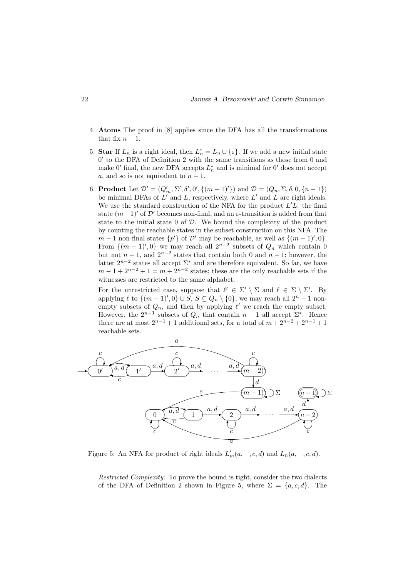- 4. Atoms The proof in [8] applies since the DFA has all the transformations that fix  $n-1$ .
- 5. Star If  $L_n$  is a right ideal, then  $L_n^* = L_n \cup \{\varepsilon\}$ . If we add a new initial state  $0'$  to the DFA of Definition 2 with the same transitions as those from 0 and make 0' final, the new DFA accepts  $L_n^*$  and is minimal for 0' does not accept a, and so is not equivalent to  $n-1$ .
- 6. **Product** Let  $\mathcal{D}' = (Q'_m, \Sigma', \delta', 0', \{(m-1)'\})$  and  $\mathcal{D} = (Q_n, \Sigma, \delta, 0, \{n-1\})$ be minimal DFAs of  $L'$  and  $L$ , respectively, where  $L'$  and  $L$  are right ideals. We use the standard construction of the NFA for the product  $L'L$ : the final state  $(m-1)'$  of D' becomes non-final, and an  $\varepsilon$ -transition is added from that state to the initial state  $0$  of  $D$ . We bound the complexity of the product by counting the reachable states in the subset construction on this NFA. The  $m-1$  non-final states  $\{p'\}\$  of  $\mathcal{D}'$  may be reachable, as well as  $\{(m-1)'\$ From  $\{(m-1)^\prime, 0\}$  we may reach all  $2^{n-2}$  subsets of  $Q_n$  which contain 0 but not  $n-1$ , and  $2^{n-2}$  states that contain both 0 and  $n-1$ ; however, the latter  $2^{n-2}$  states all accept  $\Sigma^*$  and are therefore equivalent. So far, we have  $m-1+2^{n-2}+1=m+2^{n-2}$  states; these are the only reachable sets if the witnesses are restricted to the same alphabet.

For the unrestricted case, suppose that  $\ell' \in \Sigma' \setminus \Sigma$  and  $\ell \in \Sigma \setminus \Sigma'$ . By applying  $\ell$  to  $\{(m-1)^\prime, 0\} \cup S$ ,  $S \subseteq Q_n \setminus \{0\}$ , we may reach all  $2^n - 1$  nonempty subsets of  $Q_n$ , and then by applying  $\ell'$  we reach the empty subset. However, the  $2^{n-1}$  subsets of  $Q_n$  that contain  $n-1$  all accept  $\Sigma^*$ . Hence there are at most  $2^{n-1} + 1$  additional sets, for a total of  $m + 2^{n-2} + 2^{n-1} + 1$ reachable sets.



Figure 5: An NFA for product of right ideals  $L'_m(a, -, c, d)$  and  $L_n(a, -, c, d)$ .

Restricted Complexity: To prove the bound is tight, consider the two dialects of the DFA of Definition 2 shown in Figure 5, where  $\Sigma = \{a, c, d\}$ . The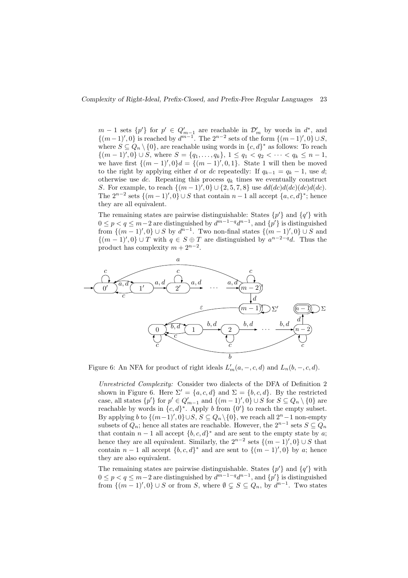$m-1$  sets  $\{p'\}\$ for  $p' \in Q'_{m-1}$  are reachable in  $\mathcal{D}'_m$  by words in  $d^*$ , and  $\{(m-1)', 0\}$  is reached by  $d^{m-1}$ . The  $2^{n-2}$  sets of the form  $\{(m-1)'', 0\} \cup S$ , where  $S \subseteq Q_n \setminus \{0\}$ , are reachable using words in  $\{c, d\}^*$  as follows: To reach  $\{(m-1)', 0\} \cup S$ , where  $S = \{q_1, \ldots, q_k\}, 1 \le q_1 < q_2 < \cdots < q_k \le n-1$ , we have first  $\{(m-1)^\prime, 0\}$  =  $\{(m-1)^\prime, 0, 1\}$ . State 1 will then be moved to the right by applying either d or dc repeatedly: If  $q_{k-1} = q_k - 1$ , use d; otherwise use dc. Repeating this process  $q_k$  times we eventually construct S. For example, to reach  $\{(m-1)', 0\} \cup \{2, 5, 7, 8\}$  use  $dd(dc)d(dc)d(dc).$ The  $2^{n-2}$  sets  $\{(m-1)', 0\} \cup S$  that contain  $n-1$  all accept  $\{a, c, d\}^*$ ; hence they are all equivalent.

The remaining states are pairwise distinguishable: States  $\{p'\}$  and  $\{q'\}$  with  $0 \le p < q \le m-2$  are distinguished by  $d^{m-1-q}d^{n-1}$ , and  $\{p'\}$  is distinguished from  $\{(m-1)^\prime, 0\} \cup S$  by  $d^{n-1}$ . Two non-final states  $\{(m-1)^\prime, 0\} \cup S$  and  $\{(m-1)',0\} \cup T$  with  $q \in S \oplus T$  are distinguished by  $a^{n-2-q}d$ . Thus the product has complexity  $m + 2^{n-2}$ .



Figure 6: An NFA for product of right ideals  $L'_m(a, -, c, d)$  and  $L_n(b, -, c, d)$ .

Unrestricted Complexity: Consider two dialects of the DFA of Definition 2 shown in Figure 6. Here  $\Sigma' = \{a, c, d\}$  and  $\Sigma = \{b, c, d\}$ . By the restricted case, all states  $\{p'\}$  for  $p' \in Q'_{m-1}$  and  $\{(m-1)', 0\} \cup S$  for  $S \subseteq Q_n \setminus \{0\}$  are reachable by words in  $\{c, d\}^*$ . Apply b from  $\{0'\}$  to reach the empty subset. By applying b to  $\{(m-1)^\prime, 0\} \cup S$ ,  $S \subseteq Q_n \setminus \{0\}$ , we reach all  $2^n - 1$  non-empty subsets of  $Q_n$ ; hence all states are reachable. However, the  $2^{n-1}$  sets  $S \subseteq Q_n$ that contain  $n-1$  all accept  $\{b, c, d\}^*$  and are sent to the empty state by a; hence they are all equivalent. Similarly, the  $2^{n-2}$  sets  $\{(m-1)',0\} \cup S$  that contain  $n-1$  all accept  $\{b, c, d\}^*$  and are sent to  $\{(m-1)', 0\}$  by a; hence they are also equivalent.

The remaining states are pairwise distinguishable. States  $\{p'\}$  and  $\{q'\}$  with  $0 \le p < q \le m-2$  are distinguished by  $d^{m-1-q}d^{n-1}$ , and  $\{p'\}$  is distinguished from  $\{(m-1)^\prime, 0\} \cup S$  or from S, where  $\emptyset \subsetneq S \subseteq Q_n$ , by  $d^{n-1}$ . Two states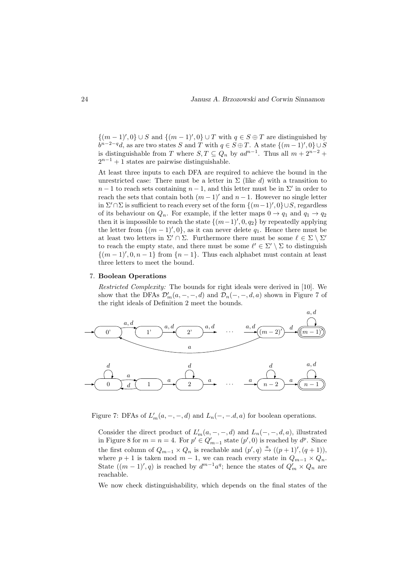$\{(m-1)^\prime, 0\} \cup S$  and  $\{(m-1)^\prime, 0\} \cup T$  with  $q \in S \oplus T$  are distinguished by  $b^{n-2-q}d$ , as are two states S and T with  $q \in S \oplus T$ . A state  $\{(m-1)', 0\} \cup S$ is distinguishable from T where  $S, T \subseteq Q_n$  by  $ad^{n-1}$ . Thus all  $m + 2^{n-2}$  +  $2^{n-1} + 1$  states are pairwise distinguishable.

At least three inputs to each DFA are required to achieve the bound in the unrestricted case: There must be a letter in  $\Sigma$  (like d) with a transition to  $n-1$  to reach sets containing  $n-1$ , and this letter must be in  $\Sigma'$  in order to reach the sets that contain both  $(m-1)'$  and  $n-1$ . However no single letter in  $\Sigma' \cap \Sigma$  is sufficient to reach every set of the form  $\{(m-1)', 0\} \cup S$ , regardless of its behaviour on  $Q_n$ . For example, if the letter maps  $0 \to q_1$  and  $q_1 \to q_2$ then it is impossible to reach the state  $\{(m-1)$ ', 0,  $q_2\}$  by repeatedly applying the letter from  $\{(m-1)$ ', 0}, as it can never delete  $q_1$ . Hence there must be at least two letters in  $\Sigma' \cap \Sigma$ . Furthermore there must be some  $\ell \in \Sigma \setminus \Sigma'$ to reach the empty state, and there must be some  $\ell' \in \Sigma' \setminus \Sigma$  to distinguish  $\{(m-1)$ ', 0, n – 1} from  $\{n-1\}$ . Thus each alphabet must contain at least three letters to meet the bound.

### 7. Boolean Operations

Restricted Complexity: The bounds for right ideals were derived in [10]. We show that the DFAs  $\mathcal{D}'_m(a, -, -, d)$  and  $\mathcal{D}_n(-, -, d, a)$  shown in Figure 7 of the right ideals of Definition 2 meet the bounds.



Figure 7: DFAs of  $L'_m(a, -, -, d)$  and  $L_n(-, -, d, a)$  for boolean operations.

Consider the direct product of  $L'_m(a, -, -, d)$  and  $L_n(-, -, d, a)$ , illustrated in Figure 8 for  $m = n = 4$ . For  $p' \in Q'_{m-1}$  state  $(p', 0)$  is reached by  $d^p$ . Since the first column of  $Q_{m-1} \times Q_n$  is reachable and  $(p', q) \stackrel{a}{\to} ((p+1)', (q+1)),$ where  $p + 1$  is taken mod  $m - 1$ , we can reach every state in  $Q_{m-1} \times Q_n$ . State  $((m-1)'$ , q) is reached by  $d^{m-1}a^q$ ; hence the states of  $Q'_m \times Q_n$  are reachable.

We now check distinguishability, which depends on the final states of the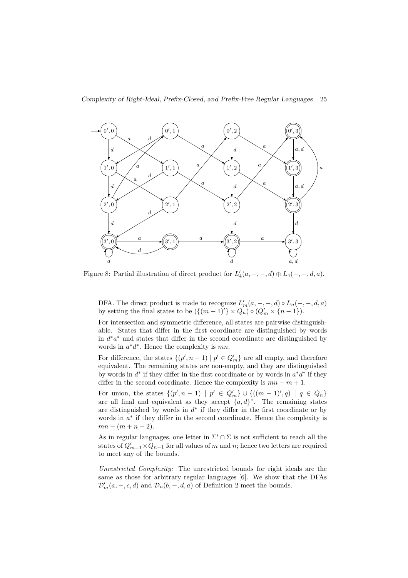

Figure 8: Partial illustration of direct product for  $L'_4(a, -, -, d) \oplus L_4(-, -, d, a)$ .

DFA. The direct product is made to recognize  $L'_m(a, -, -, d) \circ L_n(-, -, d, a)$ by setting the final states to be  $(\{(m-1)'\}\times Q_n) \circ (Q'_m\times \{n-1\}).$ 

For intersection and symmetric difference, all states are pairwise distinguishable. States that differ in the first coordinate are distinguished by words in d ∗a <sup>∗</sup> and states that differ in the second coordinate are distinguished by words in  $a^*d^*$ . Hence the complexity is  $mn$ .

For difference, the states  $\{(p', n-1) | p' \in Q'_m\}$  are all empty, and therefore equivalent. The remaining states are non-empty, and they are distinguished by words in  $d^*$  if they differ in the first coordinate or by words in  $a^*d^*$  if they differ in the second coordinate. Hence the complexity is  $mn - m + 1$ .

For union, the states  $\{(p', n-1) | p' \in Q'_m\} \cup \{((m-1)', q) | q \in Q_n\}$ are all final and equivalent as they accept  $\{a, d\}^*$ . The remaining states are distinguished by words in  $d^*$  if they differ in the first coordinate or by words in  $a^*$  if they differ in the second coordinate. Hence the complexity is  $mn - (m + n - 2)$ .

As in regular languages, one letter in  $\Sigma' \cap \Sigma$  is not sufficient to reach all the states of  $Q'_{m-1}$  ×  $Q_{n-1}$  for all values of m and n; hence two letters are required to meet any of the bounds.

Unrestricted Complexity: The unrestricted bounds for right ideals are the same as those for arbitrary regular languages [6]. We show that the DFAs  $\mathcal{D}'_m(a,-,c,d)$  and  $\mathcal{D}_n(b,-,d,a)$  of Definition 2 meet the bounds.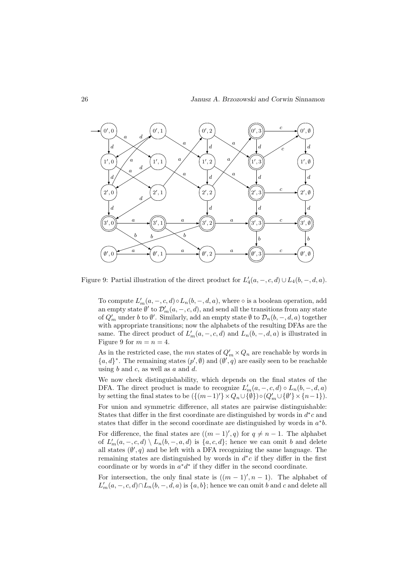

Figure 9: Partial illustration of the direct product for  $L'_4(a, -, c, d) \cup L_4(b, -, d, a)$ .

To compute  $L'_m(a, -, c, d) \circ L_n(b, -, d, a)$ , where  $\circ$  is a boolean operation, add an empty state  $\emptyset'$  to  $\mathcal{D}'_m(a,-,c,d)$ , and send all the transitions from any state of  $Q'_m$  under b to  $\emptyset'$ . Similarly, add an empty state  $\emptyset$  to  $\mathcal{D}_n(b, -, d, a)$  together with appropriate transitions; now the alphabets of the resulting DFAs are the same. The direct product of  $L'_m(a, -, c, d)$  and  $L_n(b, -, d, a)$  is illustrated in Figure 9 for  $m = n = 4$ .

As in the restricted case, the  $mn$  states of  $Q'_m \times Q_n$  are reachable by words in  ${a,d}^*$ . The remaining states  $(p', \emptyset)$  and  $(\emptyset', q)$  are easily seen to be reachable using  $b$  and  $c$ , as well as  $a$  and  $d$ .

We now check distinguishability, which depends on the final states of the DFA. The direct product is made to recognize  $L'_m(a, -, c, d) \circ L_n(b, -, d, a)$ by setting the final states to be  $({{(m-1)'} \times Q_n \cup {\emptyset}}) \circ (Q'_m \cup {\emptyset'} \times {n-1}).$ For union and symmetric difference, all states are pairwise distinguishable: States that differ in the first coordinate are distinguished by words in  $d^*c$  and states that differ in the second coordinate are distinguished by words in  $a^*b$ . For difference, the final states are  $((m-1)^\prime, q)$  for  $q \neq n-1$ . The alphabet of  $L'_m(a, -, c, d) \setminus L_n(b, -, a, d)$  is  $\{a, c, d\}$ ; hence we can omit b and delete all states  $(\emptyset', q)$  and be left with a DFA recognizing the same language. The remaining states are distinguished by words in  $d^*c$  if they differ in the first coordinate or by words in  $a^*d^*$  if they differ in the second coordinate.

For intersection, the only final state is  $((m-1)$ ',  $n-1$ ). The alphabet of  $L'_m(a, -, c, d) \cap L_n(b, -, d, a)$  is  $\{a, b\}$ ; hence we can omit b and c and delete all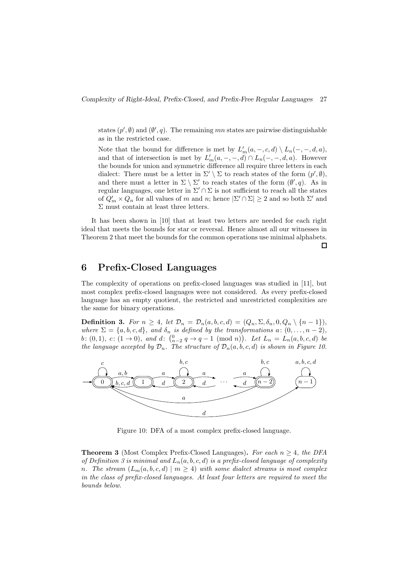states  $(p', \emptyset)$  and  $(\emptyset', q)$ . The remaining mn states are pairwise distinguishable as in the restricted case.

Note that the bound for difference is met by  $L'_m(a, -, c, d) \setminus L_n(-, -, d, a)$ , and that of intersection is met by  $L'_m(a, -, -, d) \cap L_n(-, -, d, a)$ . However the bounds for union and symmetric difference all require three letters in each dialect: There must be a letter in  $\Sigma' \setminus \Sigma$  to reach states of the form  $(p', \emptyset)$ , and there must a letter in  $\Sigma \setminus \Sigma'$  to reach states of the form  $(\emptyset', q)$ . As in regular languages, one letter in  $\Sigma' \cap \Sigma$  is not sufficient to reach all the states of  $Q'_m \times Q_n$  for all values of m and n; hence  $|\Sigma' \cap \Sigma| \ge 2$  and so both  $\Sigma'$  and Σ must contain at least three letters.

It has been shown in [10] that at least two letters are needed for each right ideal that meets the bounds for star or reversal. Hence almost all our witnesses in Theorem 2 that meet the bounds for the common operations use minimal alphabets.

### $\Box$

# 6 Prefix-Closed Languages

The complexity of operations on prefix-closed languages was studied in [11], but most complex prefix-closed languages were not considered. As every prefix-closed language has an empty quotient, the restricted and unrestricted complexities are the same for binary operations.

**Definition 3.** For  $n \geq 4$ , let  $\mathcal{D}_n = \mathcal{D}_n(a, b, c, d) = (Q_n, \Sigma, \delta_n, 0, Q_n \setminus \{n-1\}),$ where  $\Sigma = \{a, b, c, d\}$ , and  $\delta_n$  is defined by the transformations  $a: (0, \ldots, n-2)$ , b: (0, 1), c:  $(1 \to 0)$ , and d:  $\binom{0}{n-2}$   $q \to q-1$  (mod n)). Let  $L_n = L_n(a, b, c, d)$  be the language accepted by  $\mathcal{D}_n$ . The structure of  $\mathcal{D}_n(a, b, c, d)$  is shown in Figure 10.



Figure 10: DFA of a most complex prefix-closed language.

**Theorem 3** (Most Complex Prefix-Closed Languages). For each  $n > 4$ , the DFA of Definition 3 is minimal and  $L_n(a, b, c, d)$  is a prefix-closed language of complexity n. The stream  $(L_m(a, b, c, d) \mid m \ge 4)$  with some dialect streams is most complex in the class of prefix-closed languages. At least four letters are required to meet the bounds below.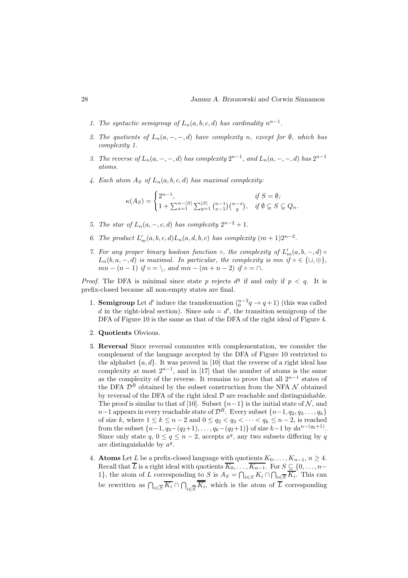- 1. The syntactic semigroup of  $L_n(a, b, c, d)$  has cardinality  $n^{n-1}$ .
- 2. The quotients of  $L_n(a, -, -, d)$  have complexity n, except for  $\emptyset$ , which has complexity 1.
- 3. The reverse of  $L_n(a, -, -, d)$  has complexity  $2^{n-1}$ , and  $L_n(a, -, -, d)$  has  $2^{n-1}$ atoms.
- 4. Each atom  $A_S$  of  $L_n(a, b, c, d)$  has maximal complexity:

$$
\kappa(A_S) = \begin{cases} 2^{n-1}, & \text{if } S = \emptyset; \\ 1 + \sum_{x=1}^{n-|S|} \sum_{y=1}^{|S|} {n-1 \choose x-1} {n-x \choose y}, & \text{if } \emptyset \subsetneq S \subsetneq Q_n. \end{cases}
$$

- 5. The star of  $L_n(a, -, c, d)$  has complexity  $2^{n-2} + 1$ .
- 6. The product  $L'_m(a, b, c, d)L_n(a, d, b, c)$  has complexity  $(m + 1)2^{n-2}$ .
- 7. For any proper binary boolean function  $\circ$ , the complexity of  $L'_m(a, b, -, d)$  $L_n(b, a, -, d)$  is maximal. In particular, the complexity is mn if  $\circ \in \{\cup, \oplus\},$  $mn - (n - 1)$  if  $\circ = \setminus$ , and  $mn - (m + n - 2)$  if  $\circ = \cap$ .

*Proof.* The DFA is minimal since state p rejects  $d^q$  if and only if  $p < q$ . It is prefix-closed because all non-empty states are final.

- 1. **Semigroup** Let d' induce the transformation  $\binom{n-2}{0}$   $\rightarrow$   $q+1$ ) (this was called d in the right-ideal section). Since  $ada = d'$ , the transition semigroup of the DFA of Figure 10 is the same as that of the DFA of the right ideal of Figure 4.
- 2. Quotients Obvious.
- 3. Reversal Since reversal commutes with complementation, we consider the complement of the language accepted by the DFA of Figure 10 restricted to the alphabet  $\{a, d\}$ . It was proved in [10] that the reverse of a right ideal has complexity at most  $2^{n-1}$ , and in [17] that the number of atoms is the same as the complexity of the reverse. It remains to prove that all  $2^{n-1}$  states of the DFA  $\mathcal{D}^R$  obtained by the subset construction from the NFA  $\mathcal N$  obtained by reversal of the DFA of the right ideal  $D$  are reachable and distinguishable. The proof is similar to that of [10]. Subset  $\{n-1\}$  is the initial state of N, and  $n-1$  appears in every reachable state of  $\mathcal{D}^R$ . Every subset  $\{n-1, q_2, q_3 \ldots, q_k\}$ of size k, where  $1 \le k \le n-2$  and  $0 \le q_2 < q_3 < \cdots < q_k \le n-2$ , is reached from the subset  $\{n-1, q_3-(q_2+1), \ldots, q_k-(q_2+1)\}\$  of size  $k-1$  by  $da^{n-(q_2+1)}$ . Since only state  $q, 0 \le q \le n-2$ , accepts  $a^q$ , any two subsets differing by q are distinguishable by  $a^q$ .
- 4. **Atoms** Let L be a prefix-closed language with quotients  $K_0, \ldots, K_{n-1}, n \geq 4$ . Recall that L is a right ideal with quotients  $K_0, \ldots, K_{n-1}$ . For  $S \subseteq \{0, \ldots, n-1\}$ 1}, the atom of L corresponding to S is  $A_S = \bigcap_{i \in S} K_i \cap \bigcap_{i \in \overline{S}} K_i$ . This can be rewritten as  $\bigcap_{i\in \overline{S}} K_i \cap \bigcap_{i\in \overline{S}} K_i$ , which is the atom of L corresponding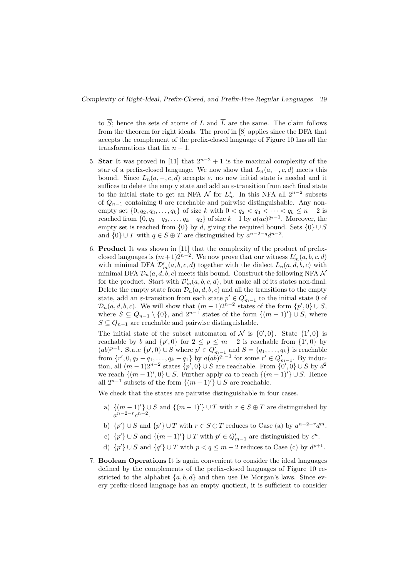to  $\overline{S}$ ; hence the sets of atoms of L and  $\overline{L}$  are the same. The claim follows from the theorem for right ideals. The proof in [8] applies since the DFA that accepts the complement of the prefix-closed language of Figure 10 has all the transformations that fix  $n-1$ .

- 5. Star It was proved in [11] that  $2^{n-2} + 1$  is the maximal complexity of the star of a prefix-closed language. We now show that  $L_n(a, -, c, d)$  meets this bound. Since  $L_n(a, -, c, d)$  accepts  $\varepsilon$ , no new initial state is needed and it suffices to delete the empty state and add an  $\varepsilon$ -transition from each final state to the initial state to get an NFA  $\mathcal N$  for  $L_n^*$ . In this NFA all  $2^{n-2}$  subsets of  $Q_{n-1}$  containing 0 are reachable and pairwise distinguishable. Any nonempty set  $\{0, q_2, q_3, ..., q_k\}$  of size k with  $0 < q_2 < q_3 < ... < q_k \le n - 2$  is reached from  $\{0, q_3 - q_2, \ldots, q_k - q_2\}$  of size  $k-1$  by  $a(ac)^{q_2-1}$ . Moreover, the empty set is reached from  $\{0\}$  by d, giving the required bound. Sets  $\{0\} \cup S$ and  $\{0\} \cup T$  with  $q \in S \oplus T$  are distinguished by  $a^{n-2-q}d^{n-2}$ .
- 6. Product It was shown in [11] that the complexity of the product of prefixclosed languages is  $(m+1)2^{n-2}$ . We now prove that our witness  $L'_m(a, b, c, d)$ with minimal DFA  $\mathcal{D}'_m(a, b, c, d)$  together with the dialect  $L_n(a, d, b, c)$  with minimal DFA  $\mathcal{D}_n(a, d, b, c)$  meets this bound. Construct the following NFA N for the product. Start with  $\mathcal{D}'_m(a, b, c, d)$ , but make all of its states non-final. Delete the empty state from  $\mathcal{D}_n(a, d, b, c)$  and all the transitions to the empty state, add an  $\varepsilon$ -transition from each state  $p' \in Q'_{m-1}$  to the initial state 0 of  $\mathcal{D}_n(a, d, b, c)$ . We will show that  $(m-1)2^{n-2}$  states of the form  $\{p', 0\} \cup S$ , where  $S \subseteq Q_{n-1} \setminus \{0\}$ , and  $2^{n-1}$  states of the form  $\{(m-1)'\} \cup S$ , where  $S \subseteq Q_{n-1}$  are reachable and pairwise distinguishable.

The initial state of the subset automaton of N is  $\{0',0\}$ . State  $\{1',0\}$  is reachable by b and  $\{p', 0\}$  for  $2 \le p \le m-2$  is reachable from  $\{1', 0\}$  by  $(ab)^{p-1}$ . State  $\{p', 0\} \cup S$  where  $p' \in Q'_{m-1}$  and  $S = \{q_1, \ldots, q_k\}$  is reachable from  $\{r', 0, q_2 - q_1, \ldots, q_k - q_1\}$  by  $a(ab)^{q_1-1}$  for some  $r' \in Q'_{m-1}$ . By induction, all  $(m-1)2^{n-2}$  states  $\{p', 0\} \cup S$  are reachable. From  $\{0', 0\} \cup S$  by  $d^2$ we reach  $\{(m-1)^\prime, 0\} \cup S$ . Further apply ca to reach  $\{(m-1)^\prime\} \cup S$ . Hence all  $2^{n-1}$  subsets of the form  $\{(m-1)'\}\cup S$  are reachable.

We check that the states are pairwise distinguishable in four cases.

- a)  $\{(m-1)'\}\cup S$  and  $\{(m-1)'\}\cup T$  with  $r\in S\oplus T$  are distinguished by  $a^{n-2-r}c^{n-2}.$
- b)  $\{p'\}\cup S$  and  $\{p'\}\cup T$  with  $r\in S\oplus T$  reduces to Case (a) by  $a^{n-2-r}d^m$ .
- c)  $\{p'\}\cup S$  and  $\{(m-1)'\}\cup T$  with  $p' \in Q'_{m-1}$  are distinguished by  $c^n$ .
- d)  $\{p'\}\cup S$  and  $\{q'\}\cup T$  with  $p < q \leq m-2$  reduces to Case (c) by  $d^{p+1}$ .
- 7. Boolean Operations It is again convenient to consider the ideal languages defined by the complements of the prefix-closed languages of Figure 10 restricted to the alphabet  $\{a, b, d\}$  and then use De Morgan's laws. Since every prefix-closed language has an empty quotient, it is sufficient to consider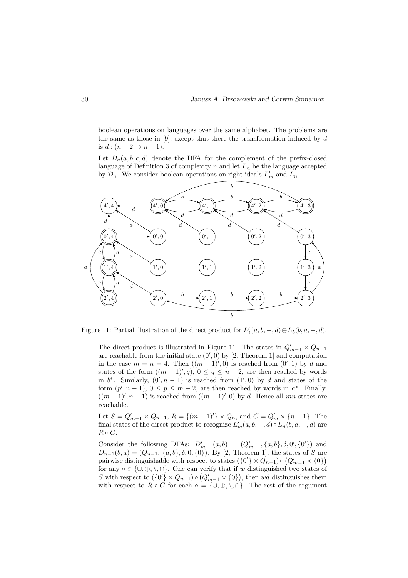boolean operations on languages over the same alphabet. The problems are the same as those in  $[9]$ , except that there the transformation induced by d is  $d:(n-2 \rightarrow n-1)$ .

Let  $\mathcal{D}_n(a, b, c, d)$  denote the DFA for the complement of the prefix-closed language of Definition 3 of complexity  $n$  and let  $L_n$  be the language accepted by  $\mathcal{D}_n$ . We consider boolean operations on right ideals  $L'_m$  and  $L_n$ .



Figure 11: Partial illustration of the direct product for  $L'_4(a, b, -, d) \oplus L_5(b, a, -, d)$ .

The direct product is illustrated in Figure 11. The states in  $Q'_{m-1} \times Q_{n-1}$ are reachable from the initial state  $(0', 0)$  by [2, Theorem 1] and computation in the case  $m = n = 4$ . Then  $((m - 1)^\prime, 0)$  is reached from  $(0^\prime, 1)$  by d and states of the form  $((m-1)^\prime, q), 0 \le q \le n-2$ , are then reached by words in  $b^*$ . Similarly,  $(0', n - 1)$  is reached from  $(1', 0)$  by d and states of the form  $(p', n-1)$ ,  $0 \le p \le m-2$ , are then reached by words in  $a^*$ . Finally,  $((m-1)', n-1)$  is reached from  $((m-1)', 0)$  by d. Hence all mn states are reachable.

Let  $S = Q'_{m-1} \times Q_{n-1}$ ,  $R = \{(m-1)'\} \times Q_n$ , and  $C = Q'_m \times \{n-1\}$ . The final states of the direct product to recognize  $L'_m(a, b, -, d) \circ L_n(b, a, -, d)$  are  $R \circ C$ .

Consider the following DFAs:  $D'_{m-1}(a, b) = (Q'_{m-1}, \{a, b\}, \delta, 0', \{0'\})$  and  $D_{n-1}(b, a) = (Q_{n-1}, \{a, b\}, \delta, 0, \{0\})$ . By [2, Theorem 1], the states of S are pairwise distinguishable with respect to states  $(\{0'\}\times Q_{n-1}) \circ (Q'_{m-1}\times \{0\})$ for any  $\circ \in \{\cup, \oplus, \setminus, \cap\}$ . One can verify that if w distinguished two states of S with respect to  $({0'} \times Q_{n-1}) \circ (Q'_{m-1} \times {0})$ , then wd distinguishes them with respect to  $R \circ C$  for each  $\circ = \{\cup, \oplus, \setminus, \cap\}$ . The rest of the argument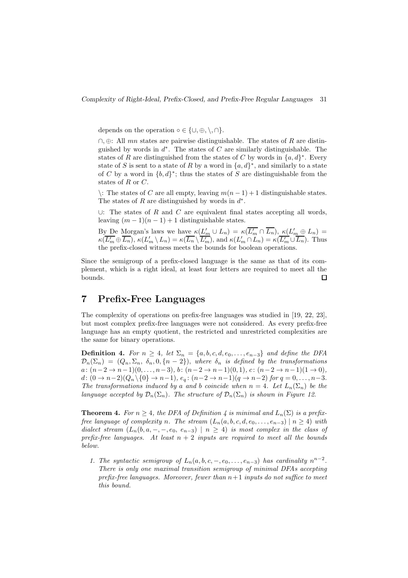depends on the operation  $\circ \in \{\cup, \oplus, \setminus, \cap\}.$ 

 $\cap$ , ⊕: All mn states are pairwise distinguishable. The states of R are distinguished by words in  $d^*$ . The states of C are similarly distinguishable. The states of R are distinguished from the states of C by words in  $\{a, d\}^*$ . Every state of S is sent to a state of R by a word in  $\{a,d\}^*$ , and similarly to a state of C by a word in  ${b,d}$ <sup>\*</sup>; thus the states of S are distinguishable from the states of R or C.

\: The states of C are all empty, leaving  $m(n-1) + 1$  distinguishable states. The states of R are distinguished by words in  $d^*$ .

∪: The states of  $R$  and  $C$  are equivalent final states accepting all words, leaving  $(m-1)(n-1)+1$  distinguishable states.

By De Morgan's laws we have  $\kappa(L'_m \cup L_n) = \kappa(\overline{L'_m} \cap \overline{L_n}), \kappa(L'_m \oplus L_n) =$  $\kappa(\overline{L'_m \oplus L_n}), \kappa(L'_m \setminus L_n) = \kappa(\overline{L_n} \setminus \overline{L'_m}), \text{ and } \kappa(L'_m \cap L_n) = \kappa(\overline{L'_m \cup L_n}).$  Thus the prefix-closed witness meets the bounds for boolean operations.

Since the semigroup of a prefix-closed language is the same as that of its complement, which is a right ideal, at least four letters are required to meet all the bounds.  $\Box$ 

## 7 Prefix-Free Languages

The complexity of operations on prefix-free languages was studied in [19, 22, 23], but most complex prefix-free languages were not considered. As every prefix-free language has an empty quotient, the restricted and unrestricted complexities are the same for binary operations.

**Definition 4.** For  $n \geq 4$ , let  $\Sigma_n = \{a, b, c, d, e_0, \ldots, e_{n-3}\}$  and define the DFA  $\mathcal{D}_n(\Sigma_n) = (Q_n, \Sigma_n, \delta_n, 0, \{n-2\})$ , where  $\delta_n$  is defined by the transformations  $a: (n-2 \to n-1)(0, \ldots, n-3), b: (n-2 \to n-1)(0, 1), c: (n-2 \to n-1)(1 \to 0),$ d:  $(0 \to n-2)(Q_n \setminus \{0\} \to n-1), e_q: (n-2 \to n-1)(q \to n-2)$  for  $q = 0, \ldots, n-3$ . The transformations induced by a and b coincide when  $n = 4$ . Let  $L_n(\Sigma_n)$  be the language accepted by  $\mathcal{D}_n(\Sigma_n)$ . The structure of  $\mathcal{D}_n(\Sigma_n)$  is shown in Figure 12.

**Theorem 4.** For  $n \geq 4$ , the DFA of Definition 4 is minimal and  $L_n(\Sigma)$  is a prefixfree language of complexity n. The stream  $(L_n(a, b, c, d, e_0, \ldots, e_{n-3}) \mid n \geq 4)$  with dialect stream  $(L_n(b, a, -, -, e_0, e_{n-3}) \mid n \ge 4)$  is most complex in the class of prefix-free languages. At least  $n + 2$  inputs are required to meet all the bounds below.

1. The syntactic semigroup of  $L_n(a, b, c, -, e_0, \ldots, e_{n-3})$  has cardinality  $n^{n-2}$ . There is only one maximal transition semigroup of minimal DFAs accepting prefix-free languages. Moreover, fewer than  $n+1$  inputs do not suffice to meet this bound.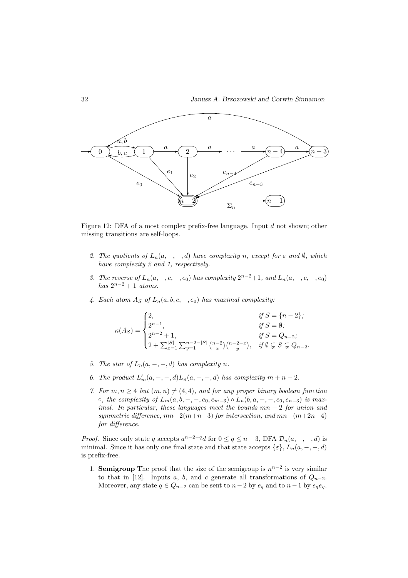

Figure 12: DFA of a most complex prefix-free language. Input d not shown; other missing transitions are self-loops.

- 2. The quotients of  $L_n(a, -, -, d)$  have complexity n, except for  $\varepsilon$  and  $\emptyset$ , which have complexity 2 and 1, respectively.
- 3. The reverse of  $L_n(a, -, c, -, e_0)$  has complexity  $2^{n-2}+1$ , and  $L_n(a, -, c, -, e_0)$ has  $2^{n-2}+1$  atoms.
- 4. Each atom  $A_S$  of  $L_n(a, b, c, -, e_0)$  has maximal complexity:

$$
\kappa(A_S) = \begin{cases} 2, & \text{if } S = \{n-2\}; \\ 2^{n-1}, & \text{if } S = \emptyset; \\ 2^{n-2} + 1, & \text{if } S = Q_{n-2}; \\ 2 + \sum_{x=1}^{|S|} \sum_{y=1}^{n-2-|S|} {n-2 \choose x} {n-2-x \choose y}, & \text{if } \emptyset \subsetneq S \subsetneq Q_{n-2}. \end{cases}
$$

- 5. The star of  $L_n(a, -, -, d)$  has complexity n.
- 6. The product  $L'_m(a, -, -, d)L_n(a, -, -, d)$  has complexity  $m + n 2$ .
- 7. For  $m, n \geq 4$  but  $(m, n) \neq (4, 4)$ , and for any proper binary boolean function ○, the complexity of  $L_m(a, b, -, -, e_0, e_{m-3}) \circ L_n(b, a, -, -, e_0, e_{n-3})$  is maximal. In particular, these languages meet the bounds  $mn - 2$  for union and symmetric difference,  $mn-2(m+n-3)$  for intersection, and  $mn-(m+2n-4)$ for difference.

*Proof.* Since only state q accepts  $a^{n-2-q}d$  for  $0 \le q \le n-3$ , DFA  $\mathcal{D}_n(a, -, -, d)$  is minimal. Since it has only one final state and that state accepts  $\{\varepsilon\}, L_n(a, -, -, d)$ is prefix-free.

1. **Semigroup** The proof that the size of the semigroup is  $n^{n-2}$  is very similar to that in [12]. Inputs a, b, and c generate all transformations of  $Q_{n-2}$ . Moreover, any state  $q \in Q_{n-2}$  can be sent to  $n-2$  by  $e_q$  and to  $n-1$  by  $e_q e_q$ .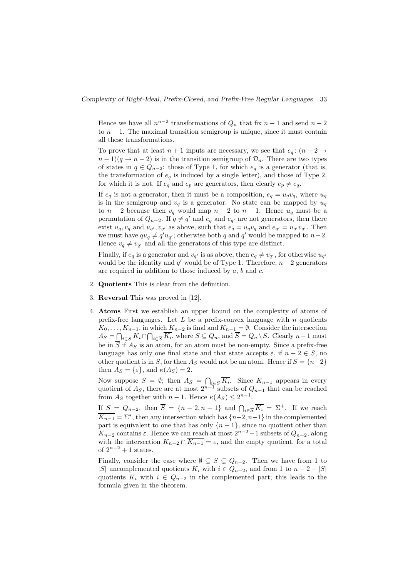Hence we have all  $n^{n-2}$  transformations of  $Q_n$  that fix  $n-1$  and send  $n-2$ to  $n - 1$ . The maximal transition semigroup is unique, since it must contain all these transformations.

To prove that at least  $n + 1$  inputs are necessary, we see that  $e_q$ :  $(n - 2 \rightarrow$  $n-1$ ) $(q \rightarrow n-2)$  is in the transition semigroup of  $\mathcal{D}_n$ . There are two types of states in  $q \in Q_{n-2}$ : those of Type 1, for which  $e_q$  is a generator (that is, the transformation of  $e_q$  is induced by a single letter), and those of Type 2, for which it is not. If  $e_q$  and  $e_p$  are generators, then clearly  $e_p \neq e_q$ .

If  $e_q$  is not a generator, then it must be a composition,  $e_q = u_q v_q$ , where  $u_q$ is in the semigroup and  $v_q$  is a generator. No state can be mapped by  $u_q$ to  $n-2$  because then  $v_q$  would map  $n-2$  to  $n-1$ . Hence  $u_q$  must be a permutation of  $Q_{n-2}$ . If  $q \neq q'$  and  $e_q$  and  $e_{q'}$  are not generators, then there exist  $u_q, v_q$  and  $u_{q'}, v_{q'}$  as above, such that  $e_q = u_q v_q$  and  $e_{q'} = u_{q'} v_{q'}$ . Then we must have  $qu_q \neq q'u_{q'}$ ; otherwise both q and q' would be mapped to  $n-2$ . Hence  $v_q \neq v_{q'}$  and all the generators of this type are distinct.

Finally, if  $e_q$  is a generator and  $v_{q'}$  is as above, then  $e_q \neq v_{q'}$ , for otherwise  $u_{q'}$ would be the identity and  $q'$  would be of Type 1. Therefore,  $n-2$  generators are required in addition to those induced by  $a, b$  and  $c$ .

- 2. Quotients This is clear from the definition.
- 3. Reversal This was proved in [12].
- 4. Atoms First we establish an upper bound on the complexity of atoms of prefix-free languages. Let  $L$  be a prefix-convex language with  $n$  quotients  $K_0, \ldots, K_{n-1}$ , in which  $K_{n-2}$  is final and  $K_{n-1} = \emptyset$ . Consider the intersection  $A_S = \bigcap_{i \in S} K_i \cap \bigcap_{i \in \overline{S}} K_i$ , where  $S \subseteq Q_n$ , and  $S = Q_n \setminus S$ . Clearly  $n-1$  must be in  $\overline{S}$  if  $A_S$  is an atom, for an atom must be non-empty. Since a prefix-free language has only one final state and that state accepts  $\varepsilon$ , if  $n - 2 \in S$ , no other quotient is in S, for then  $A<sub>S</sub>$  would not be an atom. Hence if  $S = \{n-2\}$ then  $A_S = \{\varepsilon\}$ , and  $\kappa(A_S) = 2$ .

Now suppose  $S = \emptyset$ ; then  $A_S = \bigcap_{i \in \overline{S}} K_i$ . Since  $K_{n-1}$  appears in every quotient of  $A_s$ , there are at most  $2^{n-1}$  subsets of  $Q_{n-1}$  that can be reached from  $A_S$  together with  $n-1$ . Hence  $\kappa(A_S) \leq 2^{n-1}$ .

If  $S = Q_{n-2}$ , then  $\overline{S} = \{n-2, n-1\}$  and  $\bigcap_{i \in \overline{S}} \overline{K_i} = \Sigma^+$ . If we reach  $\overline{K_{n-1}} = \Sigma^*$ , then any intersection which has  $\{n-2, n-1\}$  in the complemented part is equivalent to one that has only  $\{n-1\}$ , since no quotient other than  $K_{n-2}$  contains  $\varepsilon$ . Hence we can reach at most  $2^{n-2}-1$  subsets of  $Q_{n-2}$ , along with the intersection  $K_{n-2} \cap \overline{K_{n-1}} = \varepsilon$ , and the empty quotient, for a total of  $2^{n-2}+1$  states.

Finally, consider the case where  $\emptyset \subseteq S \subseteq Q_{n-2}$ . Then we have from 1 to |S| uncomplemented quotients  $K_i$  with  $i \in Q_{n-2}$ , and from 1 to  $n-2-|S|$ quotients  $K_i$  with  $i \in Q_{n-2}$  in the complemented part; this leads to the formula given in the theorem.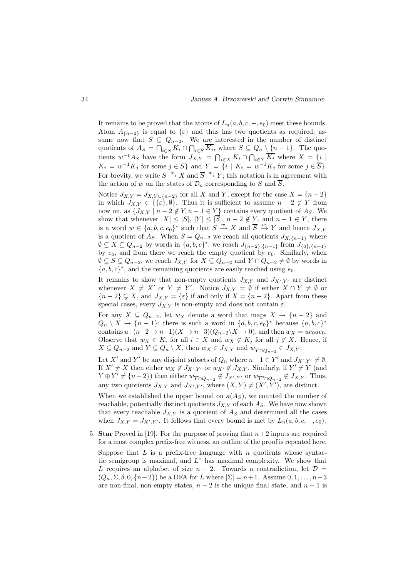It remains to be proved that the atoms of  $L_n(a, b, c, -, e_0)$  meet these bounds. Atom  $A_{n-2}$  is equal to  $\{\varepsilon\}$  and thus has two quotients as required; assume now that  $S \subseteq Q_{n-2}$ . We are interested in the number of distinct quotients of  $A_S = \bigcap_{i \in S} K_i \cap \bigcap_{i \in \overline{S}} K_i$ , where  $S \subseteq Q_n \setminus \{n-1\}$ . The quotients  $w^{-1}A_S$  have the form  $J_{X,Y} = \bigcap_{i \in X} K_i \cap \bigcap_{i \in Y} \overline{K_i}$  where  $X = \{i \mid$  $K_i = w^{-1} K_j$  for some  $j \in S$  and  $Y = \{i \mid K_i = w^{-1} K_j \text{ for some } j \in \overline{S} \}.$ For brevity, we write  $S \stackrel{w}{\to} X$  and  $\overline{S} \stackrel{w}{\to} Y$ ; this notation is in agreement with the action of w on the states of  $\mathcal{D}_n$  corresponding to S and  $\overline{S}$ .

Notice  $J_{X,Y} = J_{X,Y\cup\{n-2\}}$  for all X and Y, except for the case  $X = \{n-2\}$ in which  $J_{X,Y} \in \{\{\varepsilon\},\emptyset\}$ . Thus it is sufficient to assume  $n-2 \notin Y$  from now on, as  $\{J_{X,Y} \mid n-2 \notin Y, n-1 \in Y\}$  contains every quotient of  $A_S$ . We show that whenever  $|X| \leq |S|, |Y| \leq |S|, n-2 \notin Y$ , and  $n-1 \in Y$ , there is a word  $w \in \{a, b, c, e_0\}^*$  such that  $S \stackrel{w}{\to} X$  and  $\overline{S} \stackrel{w}{\to} Y$  and hence  $J_{X,Y}$ is a quotient of A<sub>S</sub>. When  $S = Q_{n-2}$  we reach all quotients  $J_{X,\{n-1\}}$  where  $\emptyset \subsetneq X \subseteq Q_{n-2}$  by words in  $\{a, b, c\}^*$ , we reach  $J_{\{n-2\},\{n-1\}}$  from  $J_{\{0\},\{n-1\}}$ by  $e_0$ , and from there we reach the empty quotient by  $e_0$ . Similarly, when  $\emptyset$  ⊆  $S \subsetneq Q_{n-2}$ , we reach  $J_{X,Y}$  for  $X \subseteq Q_{n-2}$  and  $Y \cap Q_{n-2} \neq \emptyset$  by words in  ${a, b, c}^*$ , and the remaining quotients are easily reached using  $e_0$ .

It remains to show that non-empty quotients  $J_{X,Y}$  and  $J_{X',Y'}$  are distinct whenever  $X \neq X'$  or  $Y \neq Y'$ . Notice  $J_{X,Y} = \emptyset$  if either  $X \cap Y \neq \emptyset$  or  ${n-2} \subsetneq X$ , and  $J_{X,Y} = {\varepsilon}$  if and only if  $X = {n-2}$ . Apart from these special cases, every  $J_{X,Y}$  is non-empty and does not contain  $\varepsilon$ .

For any  $X \subseteq Q_{n-2}$ , let  $w_X$  denote a word that maps  $X \to \{n-2\}$  and  $Q_n \setminus X \to \{n-1\};$  there is such a word in  $\{a, b, c, e_0\}^*$  because  $\{a, b, c\}^*$ contains  $u: (n-2 \to n-1)(X \to n-3)(Q_{n-2} \backslash X \to 0)$ , and then  $w_X = ue_0ae_0$ . Observe that  $w_X \in K_i$  for all  $i \in X$  and  $w_X \notin K_j$  for all  $j \notin X$ . Hence, if  $X \subseteq Q_{n-2}$  and  $Y \subseteq Q_n \setminus X$ , then  $w_X \in J_{X,Y}$  and  $w_{\overline{Y} \cap Q_{n-2}} \in J_{X,Y}$ .

Let X' and Y' be any disjoint subsets of  $Q_n$  where  $n-1 \in Y'$  and  $J_{X',Y'} \neq \emptyset$ . If  $X' \neq X$  then either  $w_X \notin J_{X',Y'}$  or  $w_{X'} \notin J_{X,Y}$ . Similarly, if  $Y' \neq Y$  (and  $Y \oplus Y' \neq \{n-2\}$  then either  $w_{\overline{Y} \cap Q_{n-2}} \notin J_{X',Y'}$  or  $w_{\overline{Y'} \cap Q_{n-2}} \notin J_{X,Y}$ . Thus, any two quotients  $J_{X,Y}$  and  $J_{X',Y'}$ , where  $(X,Y) \neq (X',Y')$ , are distinct.

When we established the upper bound on  $\kappa(A_S)$ , we counted the number of reachable, potentially distinct quotients  $J_{X,Y}$  of each  $A_S$ . We have now shown that every reachable  $J_{X,Y}$  is a quotient of  $A_S$  and determined all the cases when  $J_{X,Y} = J_{X',Y'}$ . It follows that every bound is met by  $L_n(a, b, c, -, e_0)$ .

5. Star Proved in [19]. For the purpose of proving that  $n+2$  inputs are required for a most complex prefix-free witness, an outline of the proof is repeated here.

Suppose that  $L$  is a prefix-free language with  $n$  quotients whose syntactic semigroup is maximal, and  $L^*$  has maximal complexity. We show that L requires an alphabet of size  $n + 2$ . Towards a contradiction, let  $\mathcal{D} =$  $(Q_n, \Sigma, \delta, 0, \{n-2\})$  be a DFA for L where  $|\Sigma| = n+1$ . Assume  $0, 1, \ldots, n-3$ are non-final, non-empty states,  $n-2$  is the unique final state, and  $n-1$  is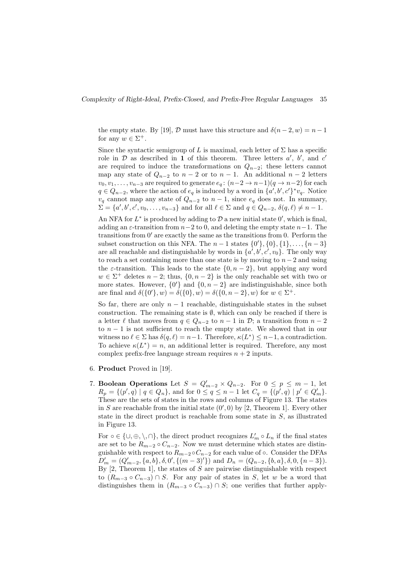the empty state. By [19],  $\mathcal D$  must have this structure and  $\delta(n-2, w) = n-1$ for any  $w \in \Sigma^+$ .

Since the syntactic semigroup of L is maximal, each letter of  $\Sigma$  has a specific role in  $D$  as described in 1 of this theorem. Three letters  $a'$ ,  $b'$ , and  $c'$ are required to induce the transformations on  $Q_{n-2}$ ; these letters cannot map any state of  $Q_{n-2}$  to  $n-2$  or to  $n-1$ . An additional  $n-2$  letters  $v_0, v_1, \ldots, v_{n-3}$  are required to generate  $e_q : (n-2 \to n-1)(q \to n-2)$  for each  $q \in Q_{n-2}$ , where the action of  $e_q$  is induced by a word in  $\{a', b', c'\}^* v_q$ . Notice  $v_q$  cannot map any state of  $Q_{n-2}$  to  $n-1$ , since  $e_q$  does not. In summary,  $\Sigma = \{a', b', c', v_0, \ldots, v_{n-3}\}\$ and for all  $\ell \in \Sigma$  and  $q \in Q_{n-2}, \delta(q, \ell) \neq n-1$ .

An NFA for  $L^*$  is produced by adding to  $\mathcal D$  a new initial state  $0'$ , which is final, adding an  $\varepsilon$ -transition from  $n-2$  to 0, and deleting the empty state  $n-1$ . The transitions from 0′ are exactly the same as the transitions from 0. Perform the subset construction on this NFA. The  $n-1$  states  $\{0'\}, \{0\}, \{1\}, \ldots, \{n-3\}$ are all reachable and distinguishable by words in  $\{a', b', c', v_0\}$ . The only way to reach a set containing more than one state is by moving to  $n-2$  and using the  $\varepsilon$ -transition. This leads to the state  $\{0, n-2\}$ , but applying any word  $w \in \Sigma^+$  deletes  $n-2$ ; thus,  $\{0, n-2\}$  is the only reachable set with two or more states. However,  $\{0'\}$  and  $\{0, n-2\}$  are indistinguishable, since both are final and  $\delta({0, n - 2}, w) = \delta({0, n - 2}, w)$  for  $w \in \Sigma^+$ .

So far, there are only  $n-1$  reachable, distinguishable states in the subset construction. The remaining state is  $\emptyset$ , which can only be reached if there is a letter  $\ell$  that moves from  $q \in Q_{n-2}$  to  $n-1$  in  $\mathcal{D}$ ; a transition from  $n-2$ to  $n-1$  is not sufficient to reach the empty state. We showed that in our witness no  $\ell \in \Sigma$  has  $\delta(q, \ell) = n-1$ . Therefore,  $\kappa(L^*) \leq n-1$ , a contradiction. To achieve  $\kappa(L^*) = n$ , an additional letter is required. Therefore, any most complex prefix-free language stream requires  $n + 2$  inputs.

- 6. Product Proved in [19].
- 7. Boolean Operations Let  $S = Q'_{m-2} \times Q_{n-2}$ . For  $0 \le p \le m-1$ , let  $R_p = \{ (p', q) \mid q \in Q_n \},$  and for  $0 \le q \le n - 1$  let  $C_q = \{ (p', q) \mid p' \in Q'_m \}.$ These are the sets of states in the rows and columns of Figure 13. The states in S are reachable from the initial state  $(0', 0)$  by [2, Theorem 1]. Every other state in the direct product is reachable from some state in S, as illustrated in Figure 13.

For  $\circ \in \{\cup, \oplus, \setminus, \cap\}$ , the direct product recognizes  $L'_m \circ L_n$  if the final states are set to be  $R_{m-2} \circ C_{n-2}$ . Now we must determine which states are distinguishable with respect to  $R_{m-2} \circ C_{n-2}$  for each value of  $\circ$ . Consider the DFAs  $D'_m = (Q'_{m-2}, \{a, b\}, \delta, 0', \{(m-3)'\})$  and  $D_n = (Q_{n-2}, \{b, a\}, \delta, 0, \{n-3\}).$ By  $[2,$  Theorem 1, the states of S are pairwise distinguishable with respect to  $(R_{m-3} \circ C_{n-3}) \cap S$ . For any pair of states in S, let w be a word that distinguishes them in  $(R_{m-3} \circ C_{n-3}) \cap S$ ; one verifies that further apply-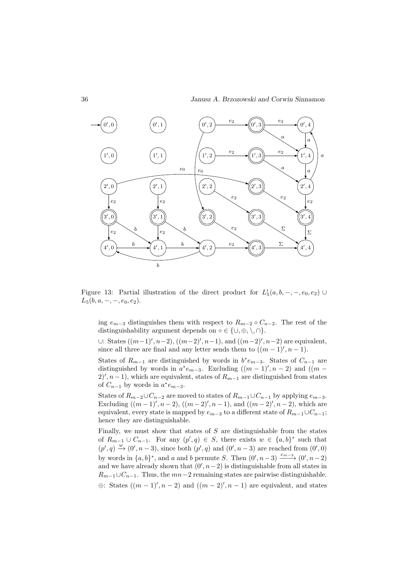

Figure 13: Partial illustration of the direct product for  $L'_{5}(a, b, -, -, e_0, e_2) \cup$  $L_5(b, a, -, -, e_0, e_2).$ 

ing  $e_{m-3}$  distinguishes them with respect to  $R_{m-2} \circ C_{n-2}$ . The rest of the distinguishability argument depends on ∘ ∈ { $\cup, \oplus, \setminus, \cap$ }.

∪: States  $((m-1)'$ ,  $n-2)$ ,  $((m-2)'$ ,  $n-1)$ , and  $((m-2)'$ ,  $n-2)$  are equivalent, since all three are final and any letter sends them to  $((m-1)$ ',  $n-1)$ .

States of  $R_{m-1}$  are distinguished by words in  $b^*e_{m-3}$ . States of  $C_{n-1}$  are distinguished by words in  $a^*e_{m-3}$ . Excluding  $((m-1)', n-2)$  and  $((m-1)')$  $2', n-1$ , which are equivalent, states of  $R_{m-1}$  are distinguished from states of  $C_{n-1}$  by words in  $a^*e_{m-3}$ .

States of  $R_{m-2}\cup C_{n-2}$  are moved to states of  $R_{m-1}\cup C_{n-1}$  by applying  $e_{m-3}$ . Excluding  $((m-1)$ ',  $n-2)$ ,  $((m-2)$ ',  $n-1)$ , and  $((m-2)$ ',  $n-2)$ , which are equivalent, every state is mapped by  $e_{m-3}$  to a different state of  $R_{m-1}\cup C_{n-1}$ ; hence they are distinguishable.

Finally, we must show that states of  $S$  are distinguishable from the states of  $R_{m-1} \cup C_{n-1}$ . For any  $(p', q) \in S$ , there exists  $w \in \{a, b\}^*$  such that  $(p', q) \xrightarrow{w} (0', n-3)$ , since both  $(p', q)$  and  $(0', n-3)$  are reached from  $(0', 0)$ by words in  $\{a, b\}^*$ , and a and b permute S. Then  $(0', n-3) \xrightarrow{e_{m-3}} (0', n-2)$ and we have already shown that  $(0', n-2)$  is distinguishable from all states in  $R_{m-1}\cup C_{n-1}$ . Thus, the  $mn-2$  remaining states are pairwise distinguishable.  $\oplus$ : States  $((m-1)', n-2)$  and  $((m-2)', n-1)$  are equivalent, and states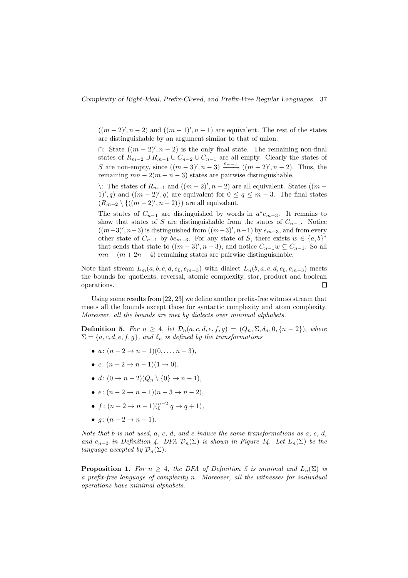$((m-2)', n-2)$  and  $((m-1)', n-1)$  are equivalent. The rest of the states are distinguishable by an argument similar to that of union.

 $\cap$ : State  $((m-2)$ ',  $n-2)$  is the only final state. The remaining non-final states of  $R_{m-2}\cup R_{m-1}\cup C_{n-2}\cup C_{n-1}$  are all empty. Clearly the states of S are non-empty, since  $((m-3)'$ ,  $n-3) \xrightarrow{e_{m-3}} ((m-2)'$ ,  $n-2)$ . Thus, the remaining  $mn - 2(m + n - 3)$  states are pairwise distinguishable.

 $\langle$ : The states of  $R_{m-1}$  and  $((m-2)$ ',  $n-2)$  are all equivalent. States  $((m-2)$ 1', q) and  $((m-2)$ ', q) are equivalent for  $0 \le q \le m-3$ . The final states  $(R_{m-2} \setminus \{((m-2)', n-2)\})$  are all equivalent.

The states of  $C_{n-1}$  are distinguished by words in  $a^*e_{m-3}$ . It remains to show that states of S are distinguishable from the states of  $C_{n-1}$ . Notice  $((m-3)'$ ,  $n-3)$  is distinguished from  $((m-3)'$ ,  $n-1)$  by  $e_{m-3}$ , and from every other state of  $C_{n-1}$  by  $be_{m-3}$ . For any state of S, there exists  $w \in \{a, b\}^*$ that sends that state to  $((m-3)', n-3)$ , and notice  $C_{n-1}w \subseteq C_{n-1}$ . So all  $mn - (m + 2n - 4)$  remaining states are pairwise distinguishable.

Note that stream  $L_m(a, b, c, d, e_0, e_{m-3})$  with dialect  $L_n(b, a, c, d, e_0, e_{m-3})$  meets the bounds for quotients, reversal, atomic complexity, star, product and boolean operations.  $\Box$ 

Using some results from [22, 23] we define another prefix-free witness stream that meets all the bounds except those for syntactic complexity and atom complexity. Moreover, all the bounds are met by dialects over minimal alphabets.

Definition 5. For  $n \geq 4$ , let  $\mathcal{D}_n(a, c, d, e, f, g) = (Q_n, \Sigma, \delta_n, 0, \{n-2\})$ , where  $\Sigma = \{a, c, d, e, f, g\}$ , and  $\delta_n$  is defined by the transformations

- $a: (n-2 \rightarrow n-1)(0, \ldots, n-3)$ ,
- $c: (n-2 \rightarrow n-1)(1 \rightarrow 0)$ .
- d:  $(0 \rightarrow n-2)(Q_n \setminus \{0\} \rightarrow n-1)$ ,
- $e: (n-2 \to n-1)(n-3 \to n-2),$
- $f: (n-2 \to n-1)$  $\binom{n-2}{0}$  $q \to q+1$ ,
- $q: (n-2 \rightarrow n-1)$ .

Note that b is not used,  $a, c, d$ , and e induce the same transformations as  $a, c, d$ . and  $e_{n-3}$  in Definition 4. DFA  $\mathcal{D}_n(\Sigma)$  is shown in Figure 14. Let  $L_n(\Sigma)$  be the language accepted by  $\mathcal{D}_n(\Sigma)$ .

**Proposition 1.** For  $n \geq 4$ , the DFA of Definition 5 is minimal and  $L_n(\Sigma)$  is a prefix-free language of complexity n. Moreover, all the witnesses for individual operations have minimal alphabets.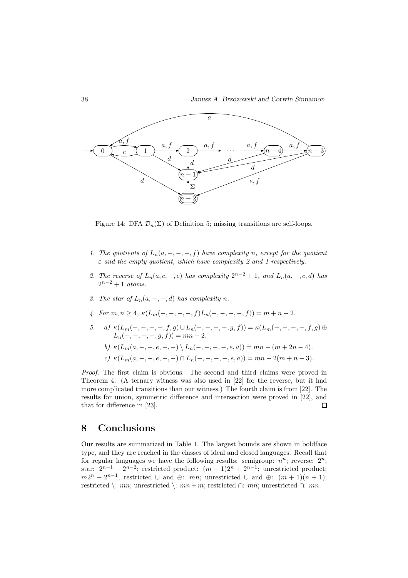

Figure 14: DFA  $\mathcal{D}_n(\Sigma)$  of Definition 5; missing transitions are self-loops.

- 1. The quotients of  $L_n(a, -, -, -, f)$  have complexity n, except for the quotient  $\varepsilon$  and the empty quotient, which have complexity 2 and 1 respectively.
- 2. The reverse of  $L_n(a, c, -, e)$  has complexity  $2^{n-2} + 1$ , and  $L_n(a, -, c, d)$  has  $2^{n-2}+1$  atoms.
- 3. The star of  $L_n(a, -, -, d)$  has complexity n.
- 4. For  $m, n \geq 4$ ,  $\kappa(L_m(-, -, -, -, f)L_n(-, -, -, -, f)) = m + n 2$ .
- 5. a)  $\kappa(L_m(-, -, -, -, f, g) \cup L_n(-, -, -, -, g, f)) = \kappa(L_m(-, -, -, -, f, g)) \oplus$  $L_n(-, -, -, -, g, f)) = mn - 2.$ 
	- b)  $\kappa(L_m(a, -, -, e, -, -)) \setminus L_n(-, -, -, -, e, a)) = mn (m + 2n 4).$
	- c)  $\kappa(L_m(a, -, -, e, -, -)) \cap L_n(-, -, -, -, e, a)) = mn 2(m + n 3).$

Proof. The first claim is obvious. The second and third claims were proved in Theorem 4. (A ternary witness was also used in [22] for the reverse, but it had more complicated transitions than our witness.) The fourth claim is from [22]. The results for union, symmetric difference and intersection were proved in [22], and that for difference in [23].  $\Box$ 

### 8 Conclusions

Our results are summarized in Table 1. The largest bounds are shown in boldface type, and they are reached in the classes of ideal and closed languages. Recall that for regular languages we have the following results: semigroup:  $n^n$ ; reverse:  $2^n$ ; star:  $2^{n-1} + 2^{n-2}$ ; restricted product:  $(m-1)2^n + 2^{n-1}$ ; unrestricted product:  $m2^n + 2^{n-1}$ ; restricted  $\cup$  and  $\oplus$ :  $mn$ ; unrestricted  $\cup$  and  $\oplus$ :  $(m + 1)(n + 1)$ ; restricted \: mn; unrestricted \: mn + m; restricted ∩: mn; unrestricted ∩: mn.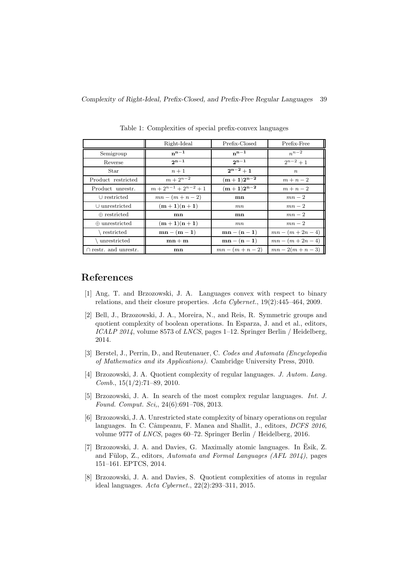|                            | Right-Ideal                 | Prefix-Closed      | Prefix-Free         |
|----------------------------|-----------------------------|--------------------|---------------------|
| Semigroup                  | $n^{n-1}$                   | $n^{n-1}$          | $n^{n-2}$           |
| Reverse                    | $2n-1$                      | $2n-1$             | $2^{n-2}+1$         |
| Star                       | $n+1$                       | $2^{n-2}+1$        | $\boldsymbol{n}$    |
| Product restricted         | $m + 2^{n-2}$               | $(m+1)2^{n-2}$     | $m+n-2$             |
| Product unrestr.           | $m + 2^{n-1} + 2^{n-2} + 1$ | $(m+1)2^{n-2}$     | $m+n-2$             |
| $\cup$ restricted          | $mn - (m + n - 2)$          | mn                 | $mn-2$              |
| $\cup$ unrestricted        | $(m+1)(n+1)$                | mn                 | $mn-2$              |
| $\oplus$ restricted        | mn                          | mn                 | $mn-2$              |
| $\oplus$ unrestricted      | $(m+1)(n+1)$                | mn                 | $mn-2$              |
| restricted                 | $mn - (m - 1)$              | $mn - (n - 1)$     | $mn - (m + 2n - 4)$ |
| unrestricted               | $mn + m$                    | $mn - (n - 1)$     | $mn - (m + 2n - 4)$ |
| $\cap$ restr. and unrestr. | mn                          | $mn - (m + n - 2)$ | $mn - 2(m + n - 3)$ |

Table 1: Complexities of special prefix-convex languages

## References

- [1] Ang, T. and Brzozowski, J. A. Languages convex with respect to binary relations, and their closure properties. Acta Cybernet., 19(2):445–464, 2009.
- [2] Bell, J., Brzozowski, J. A., Moreira, N., and Reis, R. Symmetric groups and quotient complexity of boolean operations. In Esparza, J. and et al., editors, ICALP 2014, volume 8573 of LNCS, pages 1-12. Springer Berlin / Heidelberg, 2014.
- [3] Berstel, J., Perrin, D., and Reutenauer, C. Codes and Automata (Encyclopedia of Mathematics and its Applications). Cambridge University Press, 2010.
- [4] Brzozowski, J. A. Quotient complexity of regular languages. J. Autom. Lang. Comb.,  $15(1/2)$ :71-89, 2010.
- [5] Brzozowski, J. A. In search of the most complex regular languages. Int. J. Found. Comput. Sci,, 24(6):691–708, 2013.
- [6] Brzozowski, J. A. Unrestricted state complexity of binary operations on regular languages. In C. Câmpeanu, F. Manea and Shallit, J., editors, *DCFS 2016*, volume 9777 of LNCS, pages 60–72. Springer Berlin / Heidelberg, 2016.
- [7] Brzozowski, J. A. and Davies, G. Maximally atomic languages. In Esik, Z. and Fülop, Z., editors, Automata and Formal Languages (AFL 2014), pages 151–161. EPTCS, 2014.
- [8] Brzozowski, J. A. and Davies, S. Quotient complexities of atoms in regular ideal languages. Acta Cybernet., 22(2):293–311, 2015.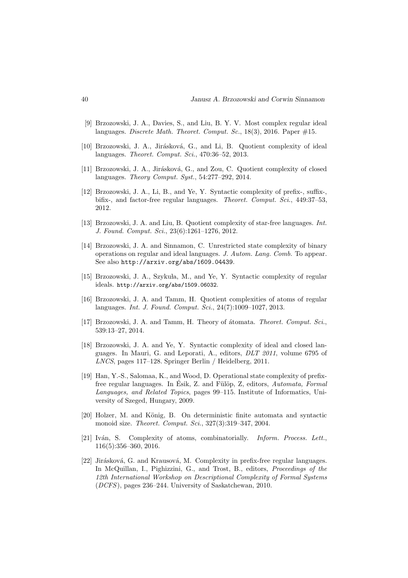- [9] Brzozowski, J. A., Davies, S., and Liu, B. Y. V. Most complex regular ideal languages. Discrete Math. Theoret. Comput. Sc., 18(3), 2016. Paper  $\#15$ .
- [10] Brzozowski, J. A., Jirásková, G., and Li, B. Quotient complexity of ideal languages. Theoret. Comput. Sci., 470:36–52, 2013.
- [11] Brzozowski, J. A., Jirásková, G., and Zou, C. Quotient complexity of closed languages. Theory Comput. Syst., 54:277–292, 2014.
- [12] Brzozowski, J. A., Li, B., and Ye, Y. Syntactic complexity of prefix-, suffix-, bifix-, and factor-free regular languages. Theoret. Comput. Sci., 449:37-53. 2012.
- [13] Brzozowski, J. A. and Liu, B. Quotient complexity of star-free languages. Int. J. Found. Comput. Sci., 23(6):1261–1276, 2012.
- [14] Brzozowski, J. A. and Sinnamon, C. Unrestricted state complexity of binary operations on regular and ideal languages. J. Autom. Lang. Comb. To appear. See also http://arxiv.org/abs/1609.04439.
- [15] Brzozowski, J. A., Szykuła, M., and Ye, Y. Syntactic complexity of regular ideals. http://arxiv.org/abs/1509.06032.
- [16] Brzozowski, J. A. and Tamm, H. Quotient complexities of atoms of regular languages. Int. J. Found. Comput. Sci., 24(7):1009–1027, 2013.
- [17] Brzozowski, J. A. and Tamm, H. Theory of atomata. Theoret. Comput. Sci., 539:13–27, 2014.
- [18] Brzozowski, J. A. and Ye, Y. Syntactic complexity of ideal and closed languages. In Mauri, G. and Leporati, A., editors, DLT 2011, volume 6795 of LNCS, pages 117–128. Springer Berlin / Heidelberg, 2011.
- [19] Han, Y.-S., Salomaa, K., and Wood, D. Operational state complexity of prefixfree regular languages. In Esik, Z. and Fülöp, Z, editors, Automata, Formal Languages, and Related Topics, pages 99–115. Institute of Informatics, University of Szeged, Hungary, 2009.
- [20] Holzer, M. and König, B. On deterministic finite automata and syntactic monoid size. Theoret. Comput. Sci., 327(3):319–347, 2004.
- [21] Iván, S. Complexity of atoms, combinatorially. Inform. Process. Lett., 116(5):356–360, 2016.
- [22] Jirásková, G. and Krausová, M. Complexity in prefix-free regular languages. In McQuillan, I., Pighizzini, G., and Trost, B., editors, Proceedings of the 12th International Workshop on Descriptional Complexity of Formal Systems (DCFS), pages 236–244. University of Saskatchewan, 2010.